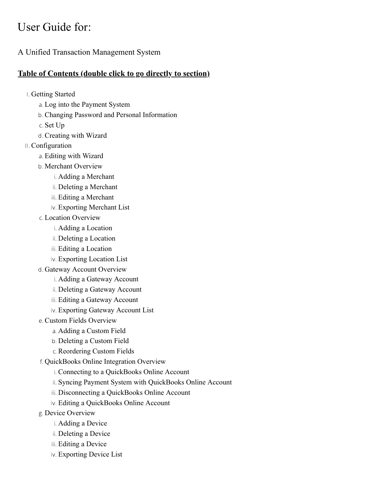# <span id="page-0-0"></span>User Guide for:

A Unified Transaction Management System

#### **Table of Contents (double click to go directly to section)**

I. [Getting Started](#page-3-0)

- a. [Log into the Payment System](#page-3-1)
- b. [Changing Password and Personal Information](#page-3-2)
- c. [Set Up](#page-3-3)
- d. [Creating with Wizard](#page-3-4)
- II. [Configuration](#page-6-0)
	- a. [Editing with Wizard](#page-6-1)
	- b. [Merchant Overview](#page-7-0)
		- i. [Adding a Merchant](#page-7-1)
		- ii. [Deleting a Merchant](#page-8-0)
		- iii. [Editing a Merchant](#page-8-1)
		- iv. [Exporting Merchant List](#page-8-2)
	- c. [Location Overview](#page-9-0)
		- i. [Adding a Location](#page-7-1)
		- ii. [Deleting a Location](#page-8-0)
		- iii. [Editing a Location](#page-11-0)
		- iv. [Exporting Location List](#page-11-1)
	- d. [Gateway Account Overview](#page-11-2)
		- i. [Adding a Gateway Account](#page-12-0)
		- ii. [Deleting a Gateway Account](#page-13-0)
		- iii. [Editing a Gateway Account](#page-13-1)
		- iv. [Exporting Gateway Account List](#page-13-2)
	- e. [Custom Fields Overview](#page-14-0)
		- a. [Adding a Custom Field](#page-14-1)
		- b. [Deleting a Custom Field](#page-14-2)
		- c. Reordering Custom Fields
	- f. [QuickBooks Online Integration Overview](#page-14-3)
		- i. [Connecting to a QuickBooks Online Account](#page-15-0)
		- ii. Syncing Payment System [with QuickBooks Online Account](#page-15-1)
		- iii. [Disconnecting a QuickBooks Online Account](#page-16-0)
		- iv. [Editing a QuickBooks Online Account](#page-16-1)
	- g. [Device Overview](#page-16-2)
		- i. [Adding a Device](#page-16-3)
		- ii. [Deleting a Device](#page-17-0)
		- iii. [Editing a Device](#page-17-1)
		- iv. [Exporting Device List](#page-17-2)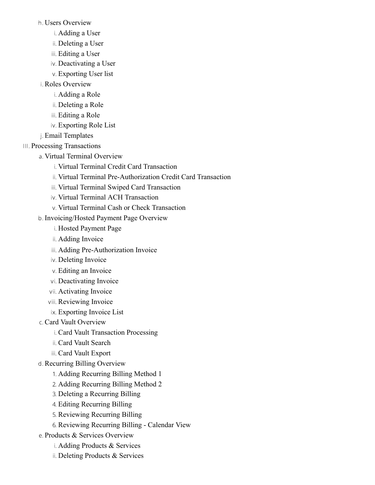h. [Users Overview](#page-17-3)

i. [Adding a User](#page-17-4)

ii. [Deleting a User](#page-18-0)

iii. [Editing a User](#page-18-1)

iv. [Deactivating a User](#page-19-0)

v. [Exporting User list](#page-19-1)

i. [Roles Overview](#page-19-2)

i. [Adding a Role](#page-19-3)

ii. [Deleting a Role](#page-20-0)

iii. [Editing a Role](#page-20-1)

iv. [Exporting Role List](#page-20-2)

j. [Email Templates](#page-20-3)

III. [Processing Transactions](#page-21-0)

a. [Virtual Terminal Overview](#page-21-1)

i. [Virtual Terminal Credit Card Transaction](#page-21-2)

ii. [Virtual Terminal Pre-Authorization Credit Card Transaction](#page-23-0)

iii. [Virtual Terminal Swiped Card Transaction](#page-24-0)

iv. [Virtual Terminal ACH Transaction](#page-24-1)

v. [Virtual Terminal Cash or Check Transaction](#page-25-0)

b. [Invoicing/Hosted Payment Page Overview](#page-26-0)

i. [Hosted Payment Page](#page-27-0)

ii. Adding Invoice

iii. Adding Pre-Authorization Invoice

iv. Deleting Invoice

v. Editing [an Invoice](#page-30-0)

vi. [Deactivating](#page-31-0) Invoice

vii. [Activating Invoice](#page-31-1)

viii. [Reviewing Invoice](#page-32-0)

ix. [Exporting Invoice List](#page-32-1)

c. [Card Vault Overview](#page-32-2)

i. [Card Vault Transaction Processing](#page-32-3)

ii. [Card Vault Search](#page-33-0)

iii. [Card Vault Export](#page-33-1)

d. [Recurring Billing Overview](#page-33-2)

1. [Adding Recurring Billing Method 1](#page-33-3)

2. [Adding Recurring Billing Method 2](#page-34-0)

3. Deleting a [Recurring Billing](#page-35-0)

4. [Editing Recurring Billing](#page-35-1)

5. [Reviewing Recurring Billing](#page-35-2)

6. Reviewing Recurring Billing - Calendar View

e. [Products & Services Overview](#page-36-0)

i. Adding Products & Services

ii. [Deleting Products & Services](#page-36-1)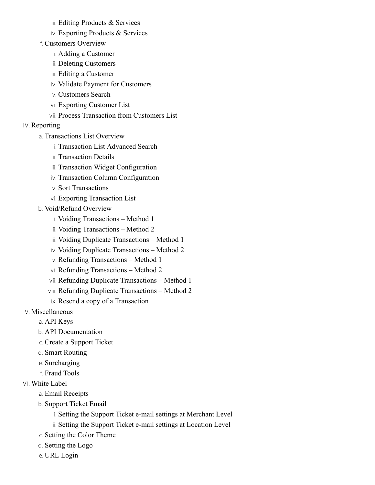iii. [Editing Products & Services](#page-36-2)

iv. Exporting [Products & Services](#page-37-0)

f. [Customers Overview](#page-37-1)

i. Adding a Customer

ii. Deleting Customers

iii. Editing a Customer

iv. [Validate Payment for Customers](#page-38-0)

v. [Customers Search](#page-38-1)

vi. Exporting Customer List

vii. [Process Transaction from Customers List](#page-38-2)

IV. [Reporting](#page-39-0)

a. [Transactions List Overview](#page-39-1)

i. [Transaction List Advanced Search](#page-39-2)

ii. [Transaction Details](#page-40-0)

iii. [Transaction Widget Configuration](#page-40-1)

iv. [Transaction Column Configuration](#page-40-2)

v. Sort Transactions

vi. [Exporting Transaction List](#page-41-0)

b. [Void/Refund Overview](#page-41-1)

i. [Voiding Transactions – Method 1](#page-41-2)

ii. [Voiding Transactions – Method 2](#page-42-0)

iii. [Voiding Duplicate Transactions – Method 1](#page-42-1)

iv. [Voiding Duplicate Transactions – Method 2](#page-42-2)

v. [Refunding Transactions – Method 1](#page-42-3)

vi. [Refunding Transactions – Method 2](#page-43-0)

vii. [Refunding Duplicate Transactions – Method 1](#page-43-1)

viii. [Refunding Duplicate Transactions – Method 2](#page-43-2)

ix. [Resend a copy of a Transaction](#page-44-0)

V. [Miscellaneous](#page-44-1)

a. [API Keys](#page-44-2)

b. [API Documentation](#page-44-3)

c. [Create a Support Ticket](#page-45-0)

d. [Smart Routing](#page-45-1)

e. [Surcharging](#page-45-2)

f. [Fraud Tools](#page-45-3)

VI. [White Label](#page-46-0)

a. [Email Receipts](#page-46-1)

b. [Support Ticket Email](#page-46-2)

i. [Setting the Support Ticket e-mail settings at Merchant Level](#page-46-3)

ii. [Setting the Support Ticket e-mail settings at Location Level](#page-46-4)

c. [Setting the Color Theme](#page-46-5)

d. [Setting the Logo](#page-47-0)

e. [URL Login](#page-47-1)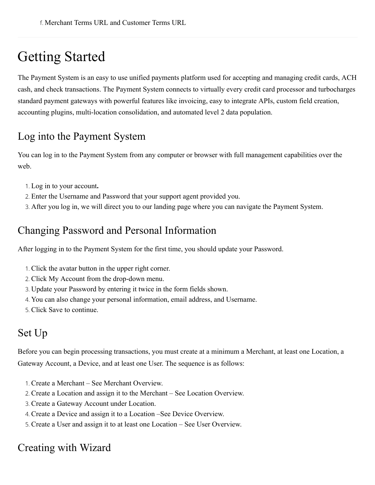# <span id="page-3-0"></span>Getting Started

The Payment System is an easy to use unified payments platform used for accepting and managing credit cards, ACH cash, and check transactions. The Payment System connects to virtually every credit card processor and turbocharges standard payment gateways with powerful features like invoicing, easy to integrate APIs, custom field creation, accounting plugins, multi-location consolidation, and automated level 2 data population.

## <span id="page-3-1"></span>Log into the Payment System

You can log in to the Payment System from any computer or browser with full management capabilities over the web.

- 1. Log in to your account**.**
- 2. Enter the Username and Password that your support agent provided you.
- 3. After you log in, we will direct you to our landing page where you can navigate the Payment System.

## <span id="page-3-2"></span>Changing Password and Personal Information

After logging in to the Payment System for the first time, you should update your Password.

- 1. Click the avatar button in the upper right corner.
- 2. Click My Account from the drop-down menu.
- 3. Update your Password by entering it twice in the form fields shown.
- 4. You can also change your personal information, email address, and Username.
- 5. Click Save to continue.

## <span id="page-3-3"></span>Set Up

Before you can begin processing transactions, you must create at a minimum a Merchant, at least one Location, a Gateway Account, a Device, and at least one User. The sequence is as follows:

- 1. Create a Merchant See Merchant Overview.
- 2. Create a Location and assign it to the Merchant See Location Overview.
- 3. Create a Gateway Account under Location.
- 4. Create a Device and assign it to a Location –See Device Overview.
- 5. Create a User and assign it to at least one Location See User Overview.

## <span id="page-3-4"></span>Creating with Wizard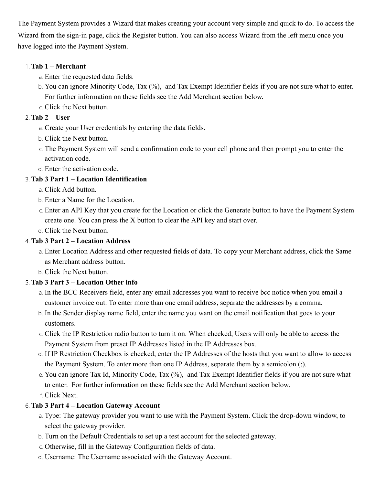The Payment System provides a Wizard that makes creating your account very simple and quick to do. To access the Wizard from the sign-in page, click the Register button. You can also access Wizard from the left menu once you have logged into the Payment System.

#### 1. **Tab 1 – Merchant**

- a. Enter the requested data fields.
- b. You can ignore Minority Code, Tax (%), and Tax Exempt Identifier fields if you are not sure what to enter. For further information on these fields see the Add Merchant section below.
- c. Click the Next button.

#### 2. **Tab 2 – User**

- a. Create your User credentials by entering the data fields.
- b. Click the Next button.
- c. The Payment System will send a confirmation code to your cell phone and then prompt you to enter the activation code.
- d. Enter the activation code.

#### 3. **Tab 3 Part 1 – Location Identification**

- a. Click Add button.
- b. Enter a Name for the Location.
- c. Enter an API Key that you create for the Location or click the Generate button to have the Payment System create one. You can press the X button to clear the API key and start over.
- d. Click the Next button.

#### 4. **Tab 3 Part 2 – Location Address**

- a. Enter Location Address and other requested fields of data. To copy your Merchant address, click the Same as Merchant address button.
- b. Click the Next button.

#### 5. **Tab 3 Part 3 – Location Other info**

- a. In the BCC Receivers field, enter any email addresses you want to receive bcc notice when you email a customer invoice out. To enter more than one email address, separate the addresses by a comma.
- b. In the Sender display name field, enter the name you want on the email notification that goes to your customers.
- c. Click the IP Restriction radio button to turn it on. When checked, Users will only be able to access the Payment System from preset IP Addresses listed in the IP Addresses box.
- d. If IP Restriction Checkbox is checked, enter the IP Addresses of the hosts that you want to allow to access the Payment System. To enter more than one IP Address, separate them by a semicolon (;).
- e. You can ignore Tax Id, Minority Code, Tax (%), and Tax Exempt Identifier fields if you are not sure what to enter. For further information on these fields see the Add Merchant section below.
- f. Click Next.

#### 6. **Tab 3 Part 4 – Location Gateway Account**

- a. Type: The gateway provider you want to use with the Payment System. Click the drop-down window, to select the gateway provider.
- b. Turn on the Default Credentials to set up a test account for the selected gateway.
- c. Otherwise, fill in the Gateway Configuration fields of data.
- d. Username: The Username associated with the Gateway Account.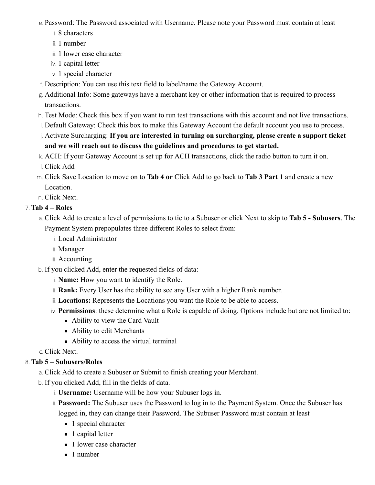e. Password: The Password associated with Username. Please note your Password must contain at least

- i. 8 characters
- ii. 1 number
- iii. 1 lower case character
- iv. 1 capital letter
- v. 1 special character
- f. Description: You can use this text field to label/name the Gateway Account.
- g. Additional Info: Some gateways have a merchant key or other information that is required to process transactions.
- h. Test Mode: Check this box if you want to run test transactions with this account and not live transactions.
- i. Default Gateway: Check this box to make this Gateway Account the default account you use to process.
- j. Activate Surcharging: **If you are interested in turning on surcharging, please create a support ticket and we will reach out to discuss the guidelines and procedures to get started.**
- k. ACH: If your Gateway Account is set up for ACH transactions, click the radio button to turn it on.
- l. Click Add
- m. Click Save Location to move on to **Tab 4 or** Click Add to go back to **Tab 3 Part 1** and create a new Location.

n. Click Next.

#### 7. **Tab 4 – Roles**

- a. Click Add to create a level of permissions to tie to a Subuser or click Next to skip to **Tab 5 Subusers**. The Payment System prepopulates three different Roles to select from:
	- i. Local Administrator
	- ii. Manager
	- iii. Accounting
- b. If you clicked Add, enter the requested fields of data:
	- i. **Name:** How you want to identify the Role.
	- ii. **Rank:** Every User has the ability to see any User with a higher Rank number.
	- iii. **Locations:** Represents the Locations you want the Role to be able to access.
	- iv. **Permissions**: these determine what a Role is capable of doing. Options include but are not limited to:
		- Ability to view the Card Vault
		- Ability to edit Merchants
		- Ability to access the virtual terminal

c. Click Next.

#### 8. **Tab 5 – Subusers/Roles**

- a. Click Add to create a Subuser or Submit to finish creating your Merchant.
- b. If you clicked Add, fill in the fields of data.
	- i. **Username:** Username will be how your Subuser logs in.
	- ii. **Password:** The Subuser uses the Password to log in to the Payment System. Once the Subuser has logged in, they can change their Password. The Subuser Password must contain at least
		- 1 special character
		- 1 capital letter
		- 1 lower case character
		- 1 number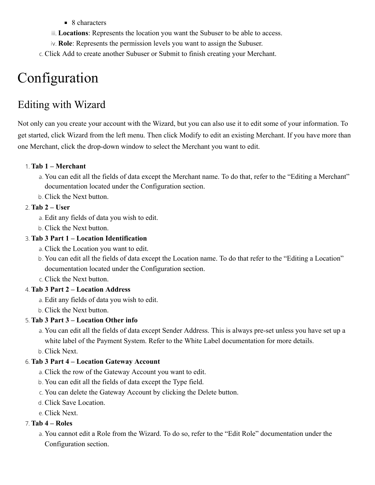- $\blacksquare$  8 characters
- iii. **Locations**: Represents the location you want the Subuser to be able to access.
- iv. **Role**: Represents the permission levels you want to assign the Subuser.
- c. Click Add to create another Subuser or Submit to finish creating your Merchant.

# <span id="page-6-0"></span>Configuration

# <span id="page-6-1"></span>Editing with Wizard

Not only can you create your account with the Wizard, but you can also use it to edit some of your information. To get started, click Wizard from the left menu. Then click Modify to edit an existing Merchant. If you have more than one Merchant, click the drop-down window to select the Merchant you want to edit.

#### 1. **Tab 1 – Merchant**

- a. You can edit all the fields of data except the Merchant name. To do that, refer to the "Editing a Merchant" documentation located under the Configuration section.
- b. Click the Next button.

#### 2. **Tab 2 – User**

- a. Edit any fields of data you wish to edit.
- b. Click the Next button.

#### 3. **Tab 3 Part 1 – Location Identification**

- a. Click the Location you want to edit.
- b. You can edit all the fields of data except the Location name. To do that refer to the "Editing a Location" documentation located under the Configuration section.
- c. Click the Next button.

#### 4. **Tab 3 Part 2 – Location Address**

- a. Edit any fields of data you wish to edit.
- b. Click the Next button.

#### 5. **Tab 3 Part 3 – Location Other info**

- a. You can edit all the fields of data except Sender Address. This is always pre-set unless you have set up a white label of the Payment System. Refer to the White Label documentation for more details.
- b. Click Next.

#### 6. **Tab 3 Part 4 – Location Gateway Account**

- a. Click the row of the Gateway Account you want to edit.
- b. You can edit all the fields of data except the Type field.
- c. You can delete the Gateway Account by clicking the Delete button.
- d. Click Save Location.
- e. Click Next.

#### 7. **Tab 4 – Roles**

a. You cannot edit a Role from the Wizard. To do so, refer to the "Edit Role" documentation under the Configuration section.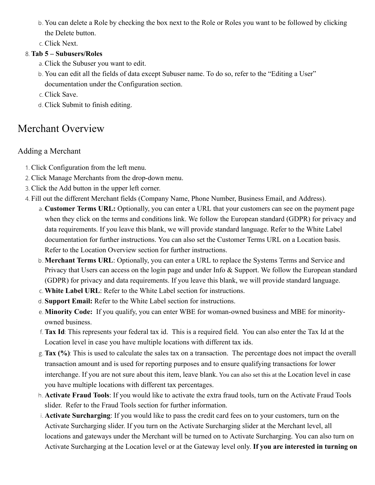- b. You can delete a Role by checking the box next to the Role or Roles you want to be followed by clicking the Delete button.
- c. Click Next.

#### 8. **Tab 5 – Subusers/Roles**

- a. Click the Subuser you want to edit.
- b. You can edit all the fields of data except Subuser name. To do so, refer to the "Editing a User" documentation under the Configuration section.
- c. Click Save.
- d. Click Submit to finish editing.

# <span id="page-7-0"></span>Merchant Overview

#### <span id="page-7-1"></span>Adding a Merchant

- 1. Click Configuration from the left menu.
- 2. Click Manage Merchants from the drop-down menu.
- 3. Click the Add button in the upper left corner.
- 4. Fill out the different Merchant fields (Company Name, Phone Number, Business Email, and Address).
	- a. **Customer Terms URL:** Optionally, you can enter a URL that your customers can see on the payment page when they click on the terms and conditions link. We follow the European standard (GDPR) for privacy and data requirements. If you leave this blank, we will provide standard language. Refer to the White Label documentation for further instructions. You can also set the Customer Terms URL on a Location basis. Refer to the Location Overview section for further instructions.
	- b. **Merchant Terms URL**: Optionally, you can enter a URL to replace the Systems Terms and Service and Privacy that Users can access on the login page and under Info  $\&$  Support. We follow the European standard (GDPR) for privacy and data requirements. If you leave this blank, we will provide standard language.
	- c. **White Label URL**: Refer to the White Label section for instructions.
	- d. **Support Email:** Refer to the White Label section for instructions.
	- e. **Minority Code:** If you qualify, you can enter WBE for woman-owned business and MBE for minorityowned business.
	- f. **Tax Id**: This represents your federal tax id. This is a required field. You can also enter the Tax Id at the Location level in case you have multiple locations with different tax ids.
	- g. **Tax (%)**: This is used to calculate the sales tax on a transaction. The percentage does not impact the overall transaction amount and is used for reporting purposes and to ensure qualifying transactions for lower interchange. If you are not sure about this item, leave blank. You can also set this at the Location level in case you have multiple locations with different tax percentages.
	- h. **Activate Fraud Tools**: If you would like to activate the extra fraud tools, turn on the Activate Fraud Tools slider. Refer to the Fraud Tools section for further information.
	- i. **Activate Surcharging**: If you would like to pass the credit card fees on to your customers, turn on the Activate Surcharging slider. If you turn on the Activate Surcharging slider at the Merchant level, all locations and gateways under the Merchant will be turned on to Activate Surcharging. You can also turn on Activate Surcharging at the Location level or at the Gateway level only. **If you are interested in turning on**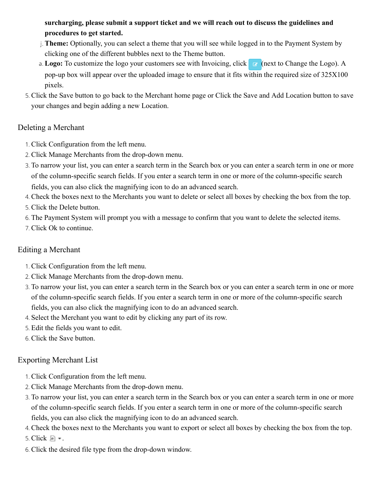**surcharging, please submit a support ticket and we will reach out to discuss the guidelines and procedures to get started.**

- j. **Theme:** Optionally, you can select a theme that you will see while logged in to the Payment System by clicking one of the different bubbles next to the Theme button.
- a. Logo: To customize the logo your customers see with Invoicing, click **F** (next to Change the Logo). A pop-up box will appear over the uploaded image to ensure that it fits within the required size of 325X100 pixels.
- 5. Click the Save button to go back to the Merchant home page or Click the Save and Add Location button to save your changes and begin adding a new Location.

#### <span id="page-8-0"></span>Deleting a Merchant

- 1. Click Configuration from the left menu.
- 2. Click Manage Merchants from the drop-down menu.
- 3. To narrow your list, you can enter a search term in the Search box or you can enter a search term in one or more of the column-specific search fields. If you enter a search term in one or more of the column-specific search fields, you can also click the magnifying icon to do an advanced search.
- 4. Check the boxes next to the Merchants you want to delete or select all boxes by checking the box from the top.
- 5. Click the Delete button.
- 6. The Payment System will prompt you with a message to confirm that you want to delete the selected items.
- 7. Click Ok to continue.

#### <span id="page-8-1"></span>Editing a Merchant

- 1. Click Configuration from the left menu.
- 2. Click Manage Merchants from the drop-down menu.
- 3. To narrow your list, you can enter a search term in the Search box or you can enter a search term in one or more of the column-specific search fields. If you enter a search term in one or more of the column-specific search fields, you can also click the magnifying icon to do an advanced search.
- 4. Select the Merchant you want to edit by clicking any part of its row.
- 5. Edit the fields you want to edit.
- 6. Click the Save button.

#### <span id="page-8-2"></span>Exporting Merchant List

- 1. Click Configuration from the left menu.
- 2. Click Manage Merchants from the drop-down menu.
- 3. To narrow your list, you can enter a search term in the Search box or you can enter a search term in one or more of the column-specific search fields. If you enter a search term in one or more of the column-specific search fields, you can also click the magnifying icon to do an advanced search.
- 4. Check the boxes next to the Merchants you want to export or select all boxes by checking the box from the top.
- 5. Click  $\mathbb{F}$  .
- 6. Click the desired file type from the drop-down window.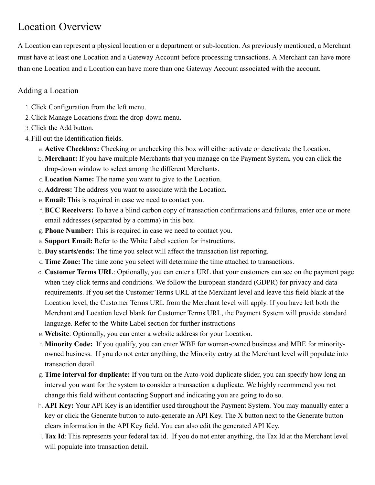# <span id="page-9-0"></span>Location Overview

A Location can represent a physical location or a department or sub-location. As previously mentioned, a Merchant must have at least one Location and a Gateway Account before processing transactions. A Merchant can have more than one Location and a Location can have more than one Gateway Account associated with the account.

#### Adding a Location

- 1. Click Configuration from the left menu.
- 2. Click Manage Locations from the drop-down menu.
- 3. Click the Add button.
- 4. Fill out the Identification fields.
	- a. **Active Checkbox:** Checking or unchecking this box will either activate or deactivate the Location.
	- b. **Merchant:** If you have multiple Merchants that you manage on the Payment System, you can click the drop-down window to select among the different Merchants.
	- c. **Location Name:** The name you want to give to the Location.
	- d. **Address:** The address you want to associate with the Location.
	- e. **Email:** This is required in case we need to contact you.
	- f. **BCC Receivers:** To have a blind carbon copy of transaction confirmations and failures, enter one or more email addresses (separated by a comma) in this box.
	- g. **Phone Number:** This is required in case we need to contact you.
	- a. **Support Email:** Refer to the White Label section for instructions.
	- b. **Day starts/ends:** The time you select will affect the transaction list reporting.
	- c. **Time Zone:** The time zone you select will determine the time attached to transactions.
	- d. **Customer Terms URL**: Optionally, you can enter a URL that your customers can see on the payment page when they click terms and conditions. We follow the European standard (GDPR) for privacy and data requirements. If you set the Customer Terms URL at the Merchant level and leave this field blank at the Location level, the Customer Terms URL from the Merchant level will apply. If you have left both the Merchant and Location level blank for Customer Terms URL, the Payment System will provide standard language. Refer to the White Label section for further instructions
	- e. **Website**: Optionally, you can enter a website address for your Location.
	- f. **Minority Code:** If you qualify, you can enter WBE for woman-owned business and MBE for minorityowned business. If you do not enter anything, the Minority entry at the Merchant level will populate into transaction detail.
	- g. **Time interval for duplicate:** If you turn on the Auto-void duplicate slider, you can specify how long an interval you want for the system to consider a transaction a duplicate. We highly recommend you not change this field without contacting Support and indicating you are going to do so.
	- h. **API Key:** Your API Key is an identifier used throughout the Payment System. You may manually enter a key or click the Generate button to auto-generate an API Key. The X button next to the Generate button clears information in the API Key field. You can also edit the generated API Key.
	- i. **Tax Id**: This represents your federal tax id. If you do not enter anything, the Tax Id at the Merchant level will populate into transaction detail.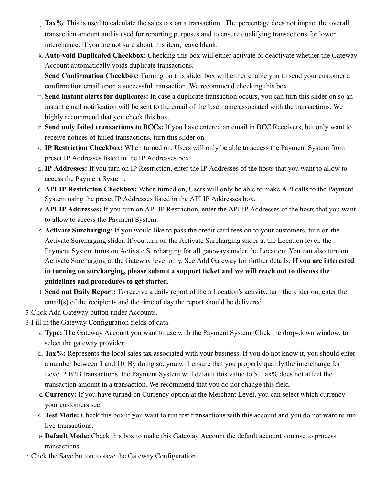- j. **Tax%**: This is used to calculate the sales tax on a transaction. The percentage does not impact the overall transaction amount and is used for reporting purposes and to ensure qualifying transactions for lower interchange. If you are not sure about this item, leave blank.
- k. **Auto-void Duplicated Checkbox:** Checking this box will either activate or deactivate whether the Gateway Account automatically voids duplicate transactions.
- l. **Send Confirmation Checkbox:** Turning on this slider box will either enable you to send your customer a confirmation email upon a successful transaction. We recommend checking this box.
- m. **Send instant alerts for duplicates:** In case a duplicate transaction occurs, you can turn this slider on so an instant email notification will be sent to the email of the Username associated with the transactions. We highly recommend that you check this box.
- n. **Send only failed transactions to BCCs:** If you have entered an email in BCC Receivers, but only want to receive notices of failed transactions, turn this slider on.
- o.**IP Restriction Checkbox:** When turned on, Users will only be able to access the Payment System from preset IP Addresses listed in the IP Addresses box.
- p.**IP Addresses:** If you turn on IP Restriction, enter the IP Addresses of the hosts that you want to allow to access the Payment System.
- q. **API IP Restriction Checkbox:** When turned on, Users will only be able to make API calls to the Payment System using the preset IP Addresses listed in the API IP Addresses box.
- r. **API IP Addresses:** If you turn on API IP Restriction, enter the API IP Addresses of the hosts that you want to allow to access the Payment System.
- s. **Activate Surcharging:** If you would like to pass the credit card fees on to your customers, turn on the Activate Surcharging slider. If you turn on the Activate Surcharging slider at the Location level, the Payment System turns on Activate Surcharging for all gateways under the Location. You can also turn on Activate Surcharging at the Gateway level only. See Add Gateway for further details. **If you are interested in turning on surcharging, please submit a support ticket and we will reach out to discuss the guidelines and procedures to get started.**
- t. **Send out Daily Report:** To receive a daily report of the a Location's activity, turn the slider on, enter the email(s) of the recipients and the time of day the report should be delivered.
- 5. Click Add Gateway button under Accounts.
- 6. Fill in the Gateway Configuration fields of data.
	- a. **Type:** The Gateway Account you want to use with the Payment System. Click the drop-down window, to select the gateway provider.
	- b. **Tax%:** Represents the local sales tax associated with your business. If you do not know it, you should enter a number between 1 and 10. By doing so, you will ensure that you properly qualify the interchange for Level 2 B2B transactions. the Payment System will default this value to 5. Tax% does not affect the transaction amount in a transaction. We recommend that you do not change this field.
	- c. **Currency:** If you have turned on Currency option at the Merchant Level, you can select which currency your customers see.
	- d. **Test Mode:** Check this box if you want to run test transactions with this account and you do not want to run live transactions.
	- e. **Default Mode:** Check this box to make this Gateway Account the default account you use to process transactions.
- 7. Click the Save button to save the Gateway Configuration.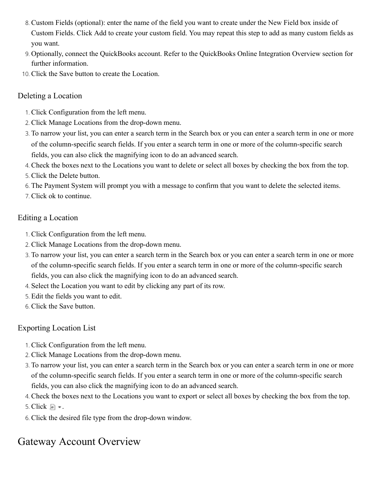- 8. Custom Fields (optional): enter the name of the field you want to create under the New Field box inside of Custom Fields. Click Add to create your custom field. You may repeat this step to add as many custom fields as you want.
- 9. Optionally, connect the QuickBooks account. Refer to the QuickBooks Online Integration Overview section for further information.
- 10. Click the Save button to create the Location.

#### Deleting a Location

- 1. Click Configuration from the left menu.
- 2. Click Manage Locations from the drop-down menu.
- 3. To narrow your list, you can enter a search term in the Search box or you can enter a search term in one or more of the column-specific search fields. If you enter a search term in one or more of the column-specific search fields, you can also click the magnifying icon to do an advanced search.
- 4. Check the boxes next to the Locations you want to delete or select all boxes by checking the box from the top.
- 5. Click the Delete button.
- 6. The Payment System will prompt you with a message to confirm that you want to delete the selected items.
- 7. Click ok to continue.

#### <span id="page-11-0"></span>Editing a Location

- 1. Click Configuration from the left menu.
- 2. Click Manage Locations from the drop-down menu.
- 3. To narrow your list, you can enter a search term in the Search box or you can enter a search term in one or more of the column-specific search fields. If you enter a search term in one or more of the column-specific search fields, you can also click the magnifying icon to do an advanced search.
- 4. Select the Location you want to edit by clicking any part of its row.
- 5. Edit the fields you want to edit.
- 6. Click the Save button.

#### <span id="page-11-1"></span>Exporting Location List

- 1. Click Configuration from the left menu.
- 2. Click Manage Locations from the drop-down menu.
- 3. To narrow your list, you can enter a search term in the Search box or you can enter a search term in one or more of the column-specific search fields. If you enter a search term in one or more of the column-specific search fields, you can also click the magnifying icon to do an advanced search.
- 4. Check the boxes next to the Locations you want to export or select all boxes by checking the box from the top.
- 5. Click  $\blacksquare$  .
- 6. Click the desired file type from the drop-down window.

# <span id="page-11-2"></span>Gateway Account Overview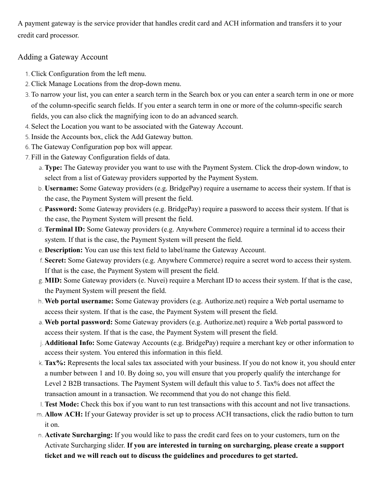A payment gateway is the service provider that handles credit card and ACH information and transfers it to your credit card processor.

#### <span id="page-12-0"></span>Adding a Gateway Account

- 1. Click Configuration from the left menu.
- 2. Click Manage Locations from the drop-down menu.
- 3. To narrow your list, you can enter a search term in the Search box or you can enter a search term in one or more of the column-specific search fields. If you enter a search term in one or more of the column-specific search fields, you can also click the magnifying icon to do an advanced search.
- 4. Select the Location you want to be associated with the Gateway Account.
- 5. Inside the Accounts box, click the Add Gateway button.
- 6. The Gateway Configuration pop box will appear.
- 7. Fill in the Gateway Configuration fields of data.
	- a. **Type:** The Gateway provider you want to use with the Payment System. Click the drop-down window, to select from a list of Gateway providers supported by the Payment System.
	- b. **Username:** Some Gateway providers (e.g. BridgePay) require a username to access their system. If that is the case, the Payment System will present the field.
	- c. **Password:** Some Gateway providers (e.g. BridgePay) require a password to access their system. If that is the case, the Payment System will present the field.
	- d. **Terminal ID:** Some Gateway providers (e.g. Anywhere Commerce) require a terminal id to access their system. If that is the case, the Payment System will present the field.
	- e. **Description:** You can use this text field to label/name the Gateway Account.
	- f. **Secret:** Some Gateway providers (e.g. Anywhere Commerce) require a secret word to access their system. If that is the case, the Payment System will present the field.
	- g. **MID:** Some Gateway providers (e. Nuvei) require a Merchant ID to access their system. If that is the case, the Payment System will present the field.
	- h. **Web portal username:** Some Gateway providers (e.g. Authorize.net) require a Web portal username to access their system. If that is the case, the Payment System will present the field.
	- a. **Web portal password:** Some Gateway providers (e.g. Authorize.net) require a Web portal password to access their system. If that is the case, the Payment System will present the field.
	- j. **Additional Info:** Some Gateway Accounts (e.g. BridgePay) require a merchant key or other information to access their system. You entered this information in this field.
	- k. **Tax%:** Represents the local sales tax associated with your business. If you do not know it, you should enter a number between 1 and 10. By doing so, you will ensure that you properly qualify the interchange for Level 2 B2B transactions. The Payment System will default this value to 5. Tax% does not affect the transaction amount in a transaction. We recommend that you do not change this field.
	- l. **Test Mode:** Check this box if you want to run test transactions with this account and not live transactions.
	- m. **Allow ACH:** If your Gateway provider is set up to process ACH transactions, click the radio button to turn it on.
	- n. **Activate Surcharging:** If you would like to pass the credit card fees on to your customers, turn on the Activate Surcharging slider. **If you are interested in turning on surcharging, please create a support ticket and we will reach out to discuss the guidelines and procedures to get started.**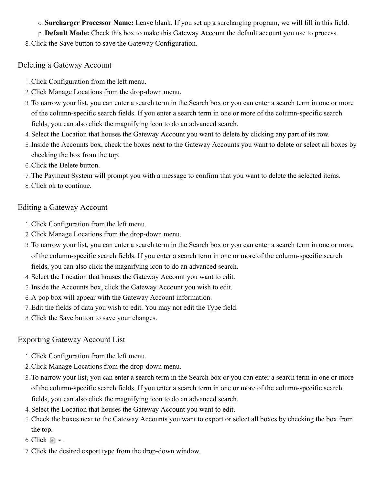o. **Surcharger Processor Name:** Leave blank. If you set up a surcharging program, we will fill in this field.

p. **Default Mode:** Check this box to make this Gateway Account the default account you use to process.

8. Click the Save button to save the Gateway Configuration.

#### <span id="page-13-0"></span>Deleting a Gateway Account

- 1. Click Configuration from the left menu.
- 2. Click Manage Locations from the drop-down menu.
- 3. To narrow your list, you can enter a search term in the Search box or you can enter a search term in one or more of the column-specific search fields. If you enter a search term in one or more of the column-specific search fields, you can also click the magnifying icon to do an advanced search.
- 4. Select the Location that houses the Gateway Account you want to delete by clicking any part of its row.
- 5. Inside the Accounts box, check the boxes next to the Gateway Accounts you want to delete or select all boxes by checking the box from the top.
- 6. Click the Delete button.
- 7. The Payment System will prompt you with a message to confirm that you want to delete the selected items.
- 8. Click ok to continue.

#### <span id="page-13-1"></span>Editing a Gateway Account

- 1. Click Configuration from the left menu.
- 2. Click Manage Locations from the drop-down menu.
- 3. To narrow your list, you can enter a search term in the Search box or you can enter a search term in one or more of the column-specific search fields. If you enter a search term in one or more of the column-specific search fields, you can also click the magnifying icon to do an advanced search.
- 4. Select the Location that houses the Gateway Account you want to edit.
- 5. Inside the Accounts box, click the Gateway Account you wish to edit.
- 6. A pop box will appear with the Gateway Account information.
- 7. Edit the fields of data you wish to edit. You may not edit the Type field.
- 8. Click the Save button to save your changes.

#### <span id="page-13-2"></span>Exporting Gateway Account List

- 1. Click Configuration from the left menu.
- 2. Click Manage Locations from the drop-down menu.
- 3. To narrow your list, you can enter a search term in the Search box or you can enter a search term in one or more of the column-specific search fields. If you enter a search term in one or more of the column-specific search fields, you can also click the magnifying icon to do an advanced search.
- 4. Select the Location that houses the Gateway Account you want to edit.
- 5. Check the boxes next to the Gateway Accounts you want to export or select all boxes by checking the box from the top.
- 6. Click  $\blacksquare$ .
- 7. Click the desired export type from the drop-down window.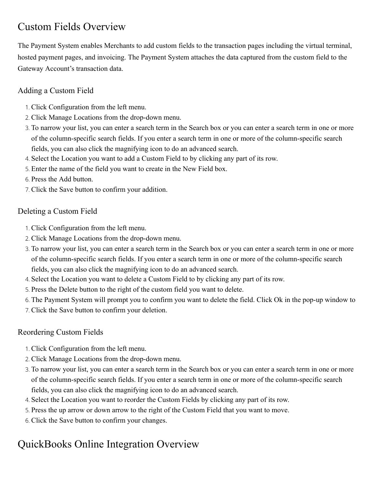# <span id="page-14-0"></span>Custom Fields Overview

The Payment System enables Merchants to add custom fields to the transaction pages including the virtual terminal, hosted payment pages, and invoicing. The Payment System attaches the data captured from the custom field to the Gateway Account's transaction data.

#### <span id="page-14-1"></span>Adding a Custom Field

- 1. Click Configuration from the left menu.
- 2. Click Manage Locations from the drop-down menu.
- 3. To narrow your list, you can enter a search term in the Search box or you can enter a search term in one or more of the column-specific search fields. If you enter a search term in one or more of the column-specific search fields, you can also click the magnifying icon to do an advanced search.
- 4. Select the Location you want to add a Custom Field to by clicking any part of its row.
- 5. Enter the name of the field you want to create in the New Field box.
- 6. Press the Add button.
- 7. Click the Save button to confirm your addition.

#### <span id="page-14-2"></span>Deleting a Custom Field

- 1. Click Configuration from the left menu.
- 2. Click Manage Locations from the drop-down menu.
- 3. To narrow your list, you can enter a search term in the Search box or you can enter a search term in one or more of the column-specific search fields. If you enter a search term in one or more of the column-specific search fields, you can also click the magnifying icon to do an advanced search.
- 4. Select the Location you want to delete a Custom Field to by clicking any part of its row.
- 5. Press the Delete button to the right of the custom field you want to delete.
- 6. The Payment System will prompt you to confirm you want to delete the field. Click Ok in the pop-up window to
- 7. Click the Save button to confirm your deletion.

#### Reordering Custom Fields

- 1. Click Configuration from the left menu.
- 2. Click Manage Locations from the drop-down menu.
- 3. To narrow your list, you can enter a search term in the Search box or you can enter a search term in one or more of the column-specific search fields. If you enter a search term in one or more of the column-specific search fields, you can also click the magnifying icon to do an advanced search.
- 4. Select the Location you want to reorder the Custom Fields by clicking any part of its row.
- 5. Press the up arrow or down arrow to the right of the Custom Field that you want to move.
- 6. Click the Save button to confirm your changes.

# <span id="page-14-3"></span>QuickBooks Online Integration Overview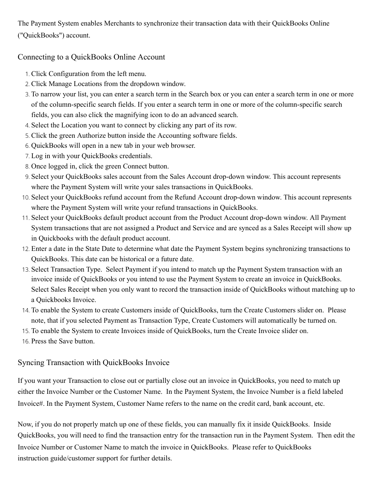The Payment System enables Merchants to synchronize their transaction data with their QuickBooks Online ("QuickBooks") account.

#### <span id="page-15-0"></span>Connecting to a QuickBooks Online Account

- 1. Click Configuration from the left menu.
- 2. Click Manage Locations from the dropdown window.
- 3. To narrow your list, you can enter a search term in the Search box or you can enter a search term in one or more of the column-specific search fields. If you enter a search term in one or more of the column-specific search fields, you can also click the magnifying icon to do an advanced search.
- 4. Select the Location you want to connect by clicking any part of its row.
- 5. Click the green Authorize button inside the Accounting software fields.
- 6. QuickBooks will open in a new tab in your web browser.
- 7. Log in with your QuickBooks credentials.
- 8. Once logged in, click the green Connect button.
- 9. Select your QuickBooks sales account from the Sales Account drop-down window. This account represents where the Payment System will write your sales transactions in QuickBooks.
- 10. Select your QuickBooks refund account from the Refund Account drop-down window. This account represents where the Payment System will write your refund transactions in QuickBooks.
- 11. Select your QuickBooks default product account from the Product Account drop-down window. All Payment System transactions that are not assigned a Product and Service and are synced as a Sales Receipt will show up in Quickbooks with the default product account.
- 12. Enter a date in the State Date to determine what date the Payment System begins synchronizing transactions to QuickBooks. This date can be historical or a future date.
- 13. Select Transaction Type. Select Payment if you intend to match up the Payment System transaction with an invoice inside of QuickBooks or you intend to use the Payment System to create an invoice in QuickBooks. Select Sales Receipt when you only want to record the transaction inside of QuickBooks without matching up to a Quickbooks Invoice.
- 14. To enable the System to create Customers inside of QuickBooks, turn the Create Customers slider on. Please note, that if you selected Payment as Transaction Type, Create Customers will automatically be turned on.
- 15. To enable the System to create Invoices inside of QuickBooks, turn the Create Invoice slider on.
- 16. Press the Save button.

#### <span id="page-15-1"></span>Syncing Transaction with QuickBooks Invoice

If you want your Transaction to close out or partially close out an invoice in QuickBooks, you need to match up either the Invoice Number or the Customer Name. In the Payment System, the Invoice Number is a field labeled Invoice#. In the Payment System, Customer Name refers to the name on the credit card, bank account, etc.

Now, if you do not properly match up one of these fields, you can manually fix it inside QuickBooks. Inside QuickBooks, you will need to find the transaction entry for the transaction run in the Payment System. Then edit the Invoice Number or Customer Name to match the invoice in QuickBooks. Please refer to QuickBooks instruction guide/customer support for further details.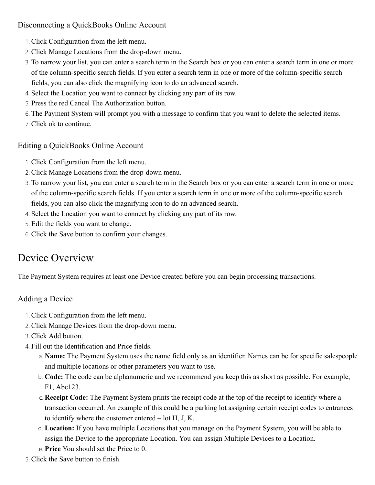#### <span id="page-16-0"></span>Disconnecting a QuickBooks Online Account

- 1. Click Configuration from the left menu.
- 2. Click Manage Locations from the drop-down menu.
- 3. To narrow your list, you can enter a search term in the Search box or you can enter a search term in one or more of the column-specific search fields. If you enter a search term in one or more of the column-specific search fields, you can also click the magnifying icon to do an advanced search.
- 4. Select the Location you want to connect by clicking any part of its row.
- 5. Press the red Cancel The Authorization button.
- 6. The Payment System will prompt you with a message to confirm that you want to delete the selected items.
- 7. Click ok to continue.

#### <span id="page-16-1"></span>Editing a QuickBooks Online Account

- 1. Click Configuration from the left menu.
- 2. Click Manage Locations from the drop-down menu.
- 3. To narrow your list, you can enter a search term in the Search box or you can enter a search term in one or more of the column-specific search fields. If you enter a search term in one or more of the column-specific search fields, you can also click the magnifying icon to do an advanced search.
- 4. Select the Location you want to connect by clicking any part of its row.
- 5. Edit the fields you want to change.
- 6. Click the Save button to confirm your changes.

# <span id="page-16-2"></span>Device Overview

The Payment System requires at least one Device created before you can begin processing transactions.

### <span id="page-16-3"></span>Adding a Device

- 1. Click Configuration from the left menu.
- 2. Click Manage Devices from the drop-down menu.
- 3. Click Add button.
- 4. Fill out the Identification and Price fields.
	- a. **Name:** The Payment System uses the name field only as an identifier. Names can be for specific salespeople and multiple locations or other parameters you want to use.
	- b. **Code:** The code can be alphanumeric and we recommend you keep this as short as possible. For example, F1, Abc123.
	- c. **Receipt Code:** The Payment System prints the receipt code at the top of the receipt to identify where a transaction occurred. An example of this could be a parking lot assigning certain receipt codes to entrances to identify where the customer entered – lot H, J, K.
	- d. **Location:** If you have multiple Locations that you manage on the Payment System, you will be able to assign the Device to the appropriate Location. You can assign Multiple Devices to a Location.
	- e. **Price** You should set the Price to 0.
- 5. Click the Save button to finish.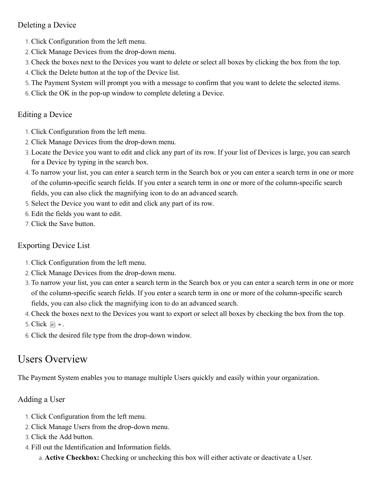#### <span id="page-17-0"></span>Deleting a Device

- 1. Click Configuration from the left menu.
- 2. Click Manage Devices from the drop-down menu.
- 3. Check the boxes next to the Devices you want to delete or select all boxes by clicking the box from the top.
- 4. Click the Delete button at the top of the Device list.
- 5. The Payment System will prompt you with a message to confirm that you want to delete the selected items.
- 6. Click the OK in the pop-up window to complete deleting a Device.

#### <span id="page-17-1"></span>Editing a Device

- 1. Click Configuration from the left menu.
- 2. Click Manage Devices from the drop-down menu.
- 3. Locate the Device you want to edit and click any part of its row. If your list of Devices is large, you can search for a Device by typing in the search box.
- 4. To narrow your list, you can enter a search term in the Search box or you can enter a search term in one or more of the column-specific search fields. If you enter a search term in one or more of the column-specific search fields, you can also click the magnifying icon to do an advanced search.
- 5. Select the Device you want to edit and click any part of its row.
- 6. Edit the fields you want to edit.
- 7. Click the Save button.

#### <span id="page-17-2"></span>Exporting Device List

- 1. Click Configuration from the left menu.
- 2. Click Manage Devices from the drop-down menu.
- 3. To narrow your list, you can enter a search term in the Search box or you can enter a search term in one or more of the column-specific search fields. If you enter a search term in one or more of the column-specific search fields, you can also click the magnifying icon to do an advanced search.
- 4. Check the boxes next to the Devices you want to export or select all boxes by checking the box from the top.
- 5. Click  $\blacksquare$  .
- 6. Click the desired file type from the drop-down window.

# <span id="page-17-3"></span>Users Overview

The Payment System enables you to manage multiple Users quickly and easily within your organization.

#### <span id="page-17-4"></span>Adding a User

- 1. Click Configuration from the left menu.
- 2. Click Manage Users from the drop-down menu.
- 3. Click the Add button.
- 4. Fill out the Identification and Information fields.

a. **Active Checkbox:** Checking or unchecking this box will either activate or deactivate a User.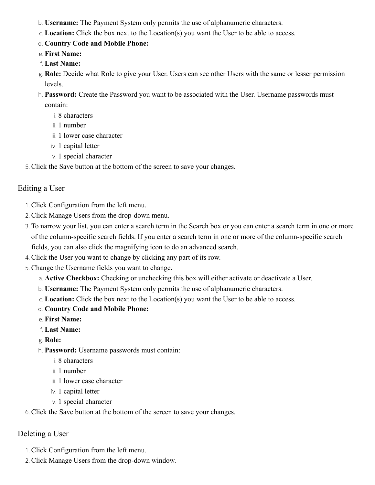- b. **Username:** The Payment System only permits the use of alphanumeric characters.
- c. **Location:** Click the box next to the Location(s) you want the User to be able to access.
- d. **Country Code and Mobile Phone:**
- e. **First Name:**
- f. **Last Name:**
- g. **Role:** Decide what Role to give your User. Users can see other Users with the same or lesser permission levels.
- h. **Password:** Create the Password you want to be associated with the User. Username passwords must contain:
	- i. 8 characters
	- ii. 1 number
	- iii. 1 lower case character
	- iv. 1 capital letter
	- v. 1 special character
- 5. Click the Save button at the bottom of the screen to save your changes.

#### <span id="page-18-1"></span>Editing a User

- 1. Click Configuration from the left menu.
- 2. Click Manage Users from the drop-down menu.
- 3. To narrow your list, you can enter a search term in the Search box or you can enter a search term in one or more of the column-specific search fields. If you enter a search term in one or more of the column-specific search fields, you can also click the magnifying icon to do an advanced search.
- 4. Click the User you want to change by clicking any part of its row.
- 5. Change the Username fields you want to change.
	- a. **Active Checkbox:** Checking or unchecking this box will either activate or deactivate a User.
	- b. **Username:** The Payment System only permits the use of alphanumeric characters.
	- c. **Location:** Click the box next to the Location(s) you want the User to be able to access.
	- d. **Country Code and Mobile Phone:**
	- e. **First Name:**
	- f. **Last Name:**
	- g. **Role:**
	- h. **Password:** Username passwords must contain:
		- i. 8 characters
		- ii. 1 number
		- iii. 1 lower case character
		- iv. 1 capital letter
		- v. 1 special character
- 6. Click the Save button at the bottom of the screen to save your changes.

#### <span id="page-18-0"></span>Deleting a User

- 1. Click Configuration from the left menu.
- 2. Click Manage Users from the drop-down window.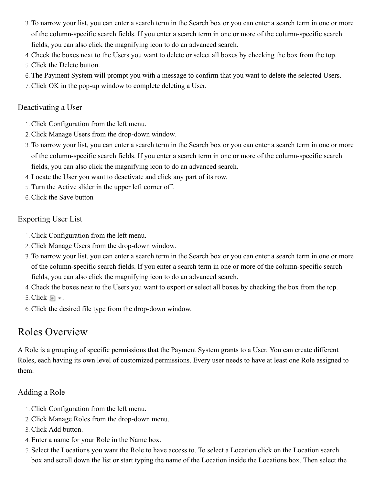- 3. To narrow your list, you can enter a search term in the Search box or you can enter a search term in one or more of the column-specific search fields. If you enter a search term in one or more of the column-specific search fields, you can also click the magnifying icon to do an advanced search.
- 4. Check the boxes next to the Users you want to delete or select all boxes by checking the box from the top.
- 5. Click the Delete button.
- 6. The Payment System will prompt you with a message to confirm that you want to delete the selected Users.
- 7. Click OK in the pop-up window to complete deleting a User.

#### <span id="page-19-0"></span>Deactivating a User

- 1. Click Configuration from the left menu.
- 2. Click Manage Users from the drop-down window.
- 3. To narrow your list, you can enter a search term in the Search box or you can enter a search term in one or more of the column-specific search fields. If you enter a search term in one or more of the column-specific search fields, you can also click the magnifying icon to do an advanced search.
- 4. Locate the User you want to deactivate and click any part of its row.
- 5. Turn the Active slider in the upper left corner off.
- 6. Click the Save button

#### <span id="page-19-1"></span>Exporting User List

- 1. Click Configuration from the left menu.
- 2. Click Manage Users from the drop-down window.
- 3. To narrow your list, you can enter a search term in the Search box or you can enter a search term in one or more of the column-specific search fields. If you enter a search term in one or more of the column-specific search fields, you can also click the magnifying icon to do an advanced search.
- 4. Check the boxes next to the Users you want to export or select all boxes by checking the box from the top.
- 5. Click  $\blacksquare$  .
- 6. Click the desired file type from the drop-down window.

# <span id="page-19-2"></span>Roles Overview

A Role is a grouping of specific permissions that the Payment System grants to a User. You can create different Roles, each having its own level of customized permissions. Every user needs to have at least one Role assigned to them.

#### <span id="page-19-3"></span>[Adding a Role](#page-19-3)

- 1. Click Configuration from the left menu.
- 2. Click Manage Roles from the drop-down menu.
- 3. Click Add button.
- 4. Enter a name for your Role in the Name box.
- 5. Select the Locations you want the Role to have access to. To select a Location click on the Location search box and scroll down the list or start typing the name of the Location inside the Locations box. Then select the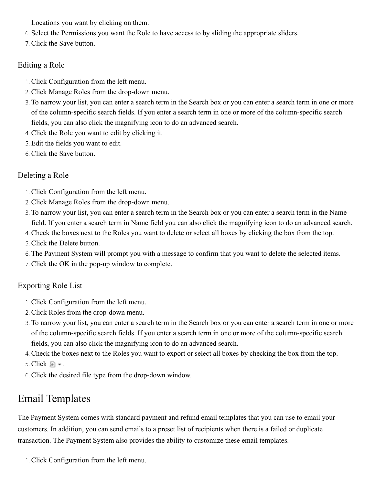Locations you want by clicking on them.

- 6. Select the Permissions you want the Role to have access to by sliding the appropriate sliders.
- 7. Click the Save button.

#### <span id="page-20-1"></span>Editing a Role

- 1. Click Configuration from the left menu.
- 2. Click Manage Roles from the drop-down menu.
- 3. To narrow your list, you can enter a search term in the Search box or you can enter a search term in one or more of the column-specific search fields. If you enter a search term in one or more of the column-specific search fields, you can also click the magnifying icon to do an advanced search.
- 4. Click the Role you want to edit by clicking it.
- 5. Edit the fields you want to edit.
- 6. Click the Save button.

#### <span id="page-20-0"></span>[Deleting a Role](#page-0-0)

- 1. Click Configuration from the left menu.
- 2. Click Manage Roles from the drop-down menu.
- 3. To narrow your list, you can enter a search term in the Search box or you can enter a search term in the Name field. If you enter a search term in Name field you can also click the magnifying icon to do an advanced search.
- 4. Check the boxes next to the Roles you want to delete or select all boxes by clicking the box from the top.
- 5. Click the Delete button.
- 6. The Payment System will prompt you with a message to confirm that you want to delete the selected items.
- 7. Click the OK in the pop-up window to complete.

### <span id="page-20-2"></span>Exporting Role List

- 1. Click Configuration from the left menu.
- 2. Click Roles from the drop-down menu.
- 3. To narrow your list, you can enter a search term in the Search box or you can enter a search term in one or more of the column-specific search fields. If you enter a search term in one or more of the column-specific search fields, you can also click the magnifying icon to do an advanced search.
- 4. Check the boxes next to the Roles you want to export or select all boxes by checking the box from the top.
- 5. Click  $\blacksquare$  .
- 6. Click the desired file type from the drop-down window.

# <span id="page-20-3"></span>Email Templates

The Payment System comes with standard payment and refund email templates that you can use to email your customers. In addition, you can send emails to a preset list of recipients when there is a failed or duplicate transaction. The Payment System also provides the ability to customize these email templates.

1. Click Configuration from the left menu.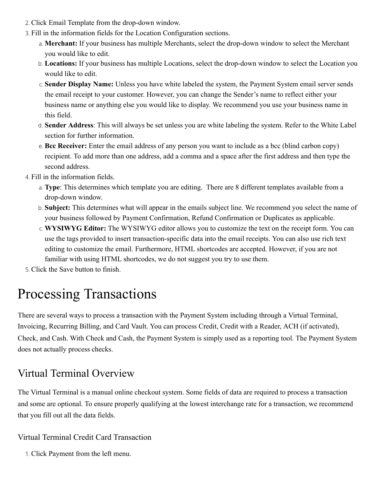- 2. Click Email Template from the drop-down window.
- 3. Fill in the information fields for the Location Configuration sections.
	- a. **Merchant:** If your business has multiple Merchants, select the drop-down window to select the Merchant you would like to edit.
	- b. **Locations:** If your business has multiple Locations, select the drop-down window to select the Location you would like to edit.
	- c. **Sender Display Name:** Unless you have white labeled the system, the Payment System email server sends the email receipt to your customer. However, you can change the Sender's name to reflect either your business name or anything else you would like to display. We recommend you use your business name in this field.
	- d. **Sender Address**: This will always be set unless you are white labeling the system. Refer to the White Label section for further information.
	- e. **Bcc Receiver:** Enter the email address of any person you want to include as a bcc (blind carbon copy) recipient. To add more than one address, add a comma and a space after the first address and then type the second address.
- 4. Fill in the information fields.
	- a. **Type**: This determines which template you are editing. There are 8 different templates available from a drop-down window.
	- b. **Subject:** This determines what will appear in the emails subject line. We recommend you select the name of your business followed by Payment Confirmation, Refund Confirmation or Duplicates as applicable.
	- c. **WYSIWYG Editor:** The WYSIWYG editor allows you to customize the text on the receipt form. You can use the tags provided to insert transaction-specific data into the email receipts. You can also use rich text editing to customize the email. Furthermore, HTML shortcodes are accepted. However, if you are not familiar with using HTML shortcodes, we do not suggest you try to use them.
- 5. Click the Save button to finish.

# <span id="page-21-0"></span>Processing Transactions

There are several ways to process a transaction with the Payment System including through a Virtual Terminal, Invoicing, Recurring Billing, and Card Vault. You can process Credit, Credit with a Reader, ACH (if activated), Check, and Cash. With Check and Cash, the Payment System is simply used as a reporting tool. The Payment System does not actually process checks.

# <span id="page-21-1"></span>Virtual Terminal Overview

The Virtual Terminal is a manual online checkout system. Some fields of data are required to process a transaction and some are optional. To ensure properly qualifying at the lowest interchange rate for a transaction, we recommend that you fill out all the data fields.

#### <span id="page-21-2"></span>Virtual Terminal Credit Card Transaction

1. Click Payment from the left menu.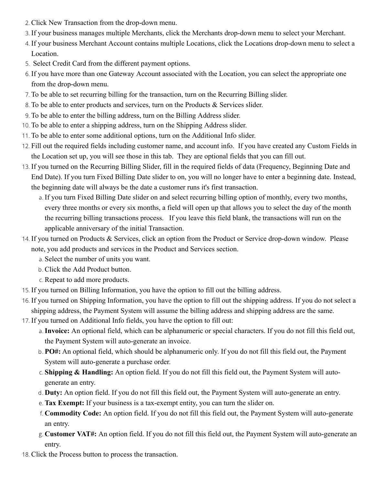- 2. Click New Transaction from the drop-down menu.
- 3. If your business manages multiple Merchants, click the Merchants drop-down menu to select your Merchant.
- 4. If your business Merchant Account contains multiple Locations, click the Locations drop-down menu to select a Location.
- 5. Select Credit Card from the different payment options.
- 6. If you have more than one Gateway Account associated with the Location, you can select the appropriate one from the drop-down menu.
- 7. To be able to set recurring billing for the transaction, turn on the Recurring Billing slider.
- 8. To be able to enter products and services, turn on the Products & Services slider.
- 9. To be able to enter the billing address, turn on the Billing Address slider.
- 10. To be able to enter a shipping address, turn on the Shipping Address slider.
- 11. To be able to enter some additional options, turn on the Additional Info slider.
- 12. Fill out the required fields including customer name, and account info. If you have created any Custom Fields in the Location set up, you will see those in this tab. They are optional fields that you can fill out.
- 13. If you turned on the Recurring Billing Slider, fill in the required fields of data (Frequency, Beginning Date and End Date). If you turn Fixed Billing Date slider to on, you will no longer have to enter a beginning date. Instead, the beginning date will always be the date a customer runs it's first transaction.
	- a. If you turn Fixed Billing Date slider on and select recurring billing option of monthly, every two months, every three months or every six months, a field will open up that allows you to select the day of the month the recurring billing transactions process. If you leave this field blank, the transactions will run on the applicable anniversary of the initial Transaction.
- 14. If you turned on Products & Services, click an option from the Product or Service drop-down window. Please note, you add products and services in the Product and Services section.
	- a. Select the number of units you want.
	- b. Click the Add Product button.
	- c. Repeat to add more products.
- 15. If you turned on Billing Information, you have the option to fill out the billing address.
- 16. If you turned on Shipping Information, you have the option to fill out the shipping address. If you do not select a shipping address, the Payment System will assume the billing address and shipping address are the same.
- 17. If you turned on Additional Info fields, you have the option to fill out:
	- a.**Invoice:** An optional field, which can be alphanumeric or special characters. If you do not fill this field out, the Payment System will auto-generate an invoice.
	- b. **PO#:** An optional field, which should be alphanumeric only. If you do not fill this field out, the Payment System will auto-generate a purchase order.
	- c. **Shipping & Handling:** An option field. If you do not fill this field out, the Payment System will autogenerate an entry.
	- d. **Duty:** An option field. If you do not fill this field out, the Payment System will auto-generate an entry.
	- e. **Tax Exempt:** If your business is a tax-exempt entity, you can turn the slider on.
	- f. **Commodity Code:** An option field. If you do not fill this field out, the Payment System will auto-generate an entry.
	- g. **Customer VAT#:** An option field. If you do not fill this field out, the Payment System will auto-generate an entry.
- 18. Click the Process button to process the transaction.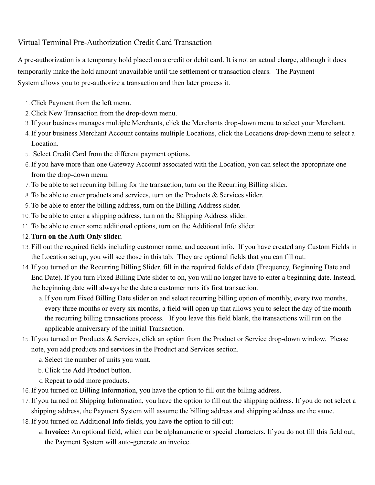#### <span id="page-23-0"></span>Virtual Terminal Pre-Authorization Credit Card Transaction

A pre-authorization is a temporary hold placed on a credit or debit card. It is not an actual charge, although it does temporarily make the hold amount unavailable until the settlement or transaction clears. The Payment System allows you to pre-authorize a transaction and then later process it.

- 1. Click Payment from the left menu.
- 2. Click New Transaction from the drop-down menu.
- 3. If your business manages multiple Merchants, click the Merchants drop-down menu to select your Merchant.
- 4. If your business Merchant Account contains multiple Locations, click the Locations drop-down menu to select a Location.
- 5. Select Credit Card from the different payment options.
- 6. If you have more than one Gateway Account associated with the Location, you can select the appropriate one from the drop-down menu.
- 7. To be able to set recurring billing for the transaction, turn on the Recurring Billing slider.
- 8. To be able to enter products and services, turn on the Products & Services slider.
- 9. To be able to enter the billing address, turn on the Billing Address slider.
- 10. To be able to enter a shipping address, turn on the Shipping Address slider.
- 11. To be able to enter some additional options, turn on the Additional Info slider.
- 12. **Turn on the Auth Only slider.**
- 13. Fill out the required fields including customer name, and account info. If you have created any Custom Fields in the Location set up, you will see those in this tab. They are optional fields that you can fill out.
- 14. If you turned on the Recurring Billing Slider, fill in the required fields of data (Frequency, Beginning Date and End Date). If you turn Fixed Billing Date slider to on, you will no longer have to enter a beginning date. Instead, the beginning date will always be the date a customer runs it's first transaction.
	- a. If you turn Fixed Billing Date slider on and select recurring billing option of monthly, every two months, every three months or every six months, a field will open up that allows you to select the day of the month the recurring billing transactions process. If you leave this field blank, the transactions will run on the applicable anniversary of the initial Transaction.
- 15. If you turned on Products & Services, click an option from the Product or Service drop-down window. Please note, you add products and services in the Product and Services section.
	- a. Select the number of units you want.
	- b. Click the Add Product button.
	- c. Repeat to add more products.
- 16. If you turned on Billing Information, you have the option to fill out the billing address.
- 17. If you turned on Shipping Information, you have the option to fill out the shipping address. If you do not select a shipping address, the Payment System will assume the billing address and shipping address are the same.
- 18. If you turned on Additional Info fields, you have the option to fill out:
	- a.**Invoice:** An optional field, which can be alphanumeric or special characters. If you do not fill this field out, the Payment System will auto-generate an invoice.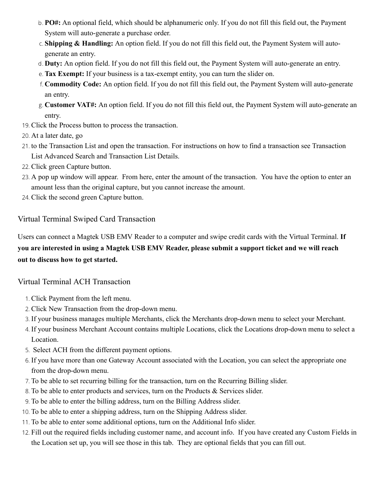- b. **PO#:** An optional field, which should be alphanumeric only. If you do not fill this field out, the Payment System will auto-generate a purchase order.
- c. **Shipping & Handling:** An option field. If you do not fill this field out, the Payment System will autogenerate an entry.
- d. **Duty:** An option field. If you do not fill this field out, the Payment System will auto-generate an entry.
- e. **Tax Exempt:** If your business is a tax-exempt entity, you can turn the slider on.
- f. **Commodity Code:** An option field. If you do not fill this field out, the Payment System will auto-generate an entry.
- g. **Customer VAT#:** An option field. If you do not fill this field out, the Payment System will auto-generate an entry.
- 19. Click the Process button to process the transaction.
- 20. At a later date, go
- 21. to the Transaction List and open the transaction. For instructions on how to find a transaction see Transaction List Advanced Search and Transaction List Details.
- 22. Click green Capture button.
- 23. A pop up window will appear. From here, enter the amount of the transaction. You have the option to enter an amount less than the original capture, but you cannot increase the amount.
- 24. Click the second green Capture button.

#### <span id="page-24-0"></span>Virtual Terminal Swiped Card Transaction

Users can connect a Magtek USB EMV Reader to a computer and swipe credit cards with the Virtual Terminal. **If you are interested in using a Magtek USB EMV Reader, please submit a support ticket and we will reach out to discuss how to get started.**

#### <span id="page-24-1"></span>Virtual Terminal ACH Transaction

- 1. Click Payment from the left menu.
- 2. Click New Transaction from the drop-down menu.
- 3. If your business manages multiple Merchants, click the Merchants drop-down menu to select your Merchant.
- 4. If your business Merchant Account contains multiple Locations, click the Locations drop-down menu to select a Location.
- 5. Select ACH from the different payment options.
- 6. If you have more than one Gateway Account associated with the Location, you can select the appropriate one from the drop-down menu.
- 7. To be able to set recurring billing for the transaction, turn on the Recurring Billing slider.
- 8. To be able to enter products and services, turn on the Products & Services slider.
- 9. To be able to enter the billing address, turn on the Billing Address slider.
- 10. To be able to enter a shipping address, turn on the Shipping Address slider.
- 11. To be able to enter some additional options, turn on the Additional Info slider.
- 12. Fill out the required fields including customer name, and account info. If you have created any Custom Fields in the Location set up, you will see those in this tab. They are optional fields that you can fill out.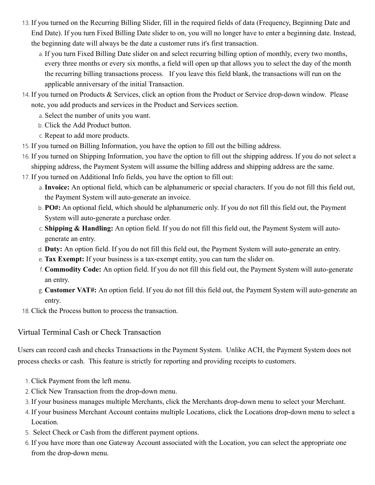- 13. If you turned on the Recurring Billing Slider, fill in the required fields of data (Frequency, Beginning Date and End Date). If you turn Fixed Billing Date slider to on, you will no longer have to enter a beginning date. Instead, the beginning date will always be the date a customer runs it's first transaction.
	- a. If you turn Fixed Billing Date slider on and select recurring billing option of monthly, every two months, every three months or every six months, a field will open up that allows you to select the day of the month the recurring billing transactions process. If you leave this field blank, the transactions will run on the applicable anniversary of the initial Transaction.
- 14. If you turned on Products & Services, click an option from the Product or Service drop-down window. Please note, you add products and services in the Product and Services section.
	- a. Select the number of units you want.
	- b. Click the Add Product button.
	- c. Repeat to add more products.
- 15. If you turned on Billing Information, you have the option to fill out the billing address.
- 16. If you turned on Shipping Information, you have the option to fill out the shipping address. If you do not select a shipping address, the Payment System will assume the billing address and shipping address are the same.
- 17. If you turned on Additional Info fields, you have the option to fill out:
	- a.**Invoice:** An optional field, which can be alphanumeric or special characters. If you do not fill this field out, the Payment System will auto-generate an invoice.
	- b. **PO#:** An optional field, which should be alphanumeric only. If you do not fill this field out, the Payment System will auto-generate a purchase order.
	- c. **Shipping & Handling:** An option field. If you do not fill this field out, the Payment System will autogenerate an entry.
	- d. **Duty:** An option field. If you do not fill this field out, the Payment System will auto-generate an entry.
	- e. **Tax Exempt:** If your business is a tax-exempt entity, you can turn the slider on.
	- f. **Commodity Code:** An option field. If you do not fill this field out, the Payment System will auto-generate an entry.
	- g. **Customer VAT#:** An option field. If you do not fill this field out, the Payment System will auto-generate an entry.
- 18. Click the Process button to process the transaction.

<span id="page-25-0"></span>Virtual Terminal Cash or Check Transaction

Users can record cash and checks Transactions in the Payment System. Unlike ACH, the Payment System does not process checks or cash. This feature is strictly for reporting and providing receipts to customers.

- 1. Click Payment from the left menu.
- 2. Click New Transaction from the drop-down menu.
- 3. If your business manages multiple Merchants, click the Merchants drop-down menu to select your Merchant.
- 4. If your business Merchant Account contains multiple Locations, click the Locations drop-down menu to select a Location.
- 5. Select Check or Cash from the different payment options.
- 6. If you have more than one Gateway Account associated with the Location, you can select the appropriate one from the drop-down menu.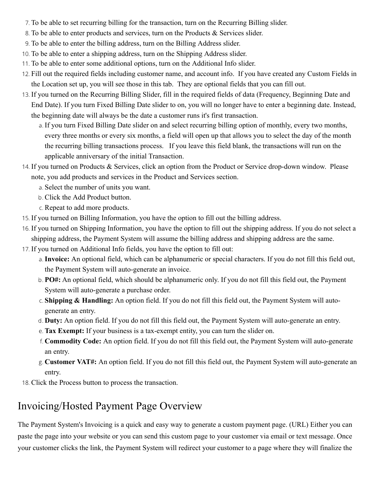- 7. To be able to set recurring billing for the transaction, turn on the Recurring Billing slider.
- 8. To be able to enter products and services, turn on the Products & Services slider.
- 9. To be able to enter the billing address, turn on the Billing Address slider.
- 10. To be able to enter a shipping address, turn on the Shipping Address slider.
- 11. To be able to enter some additional options, turn on the Additional Info slider.
- 12. Fill out the required fields including customer name, and account info. If you have created any Custom Fields in the Location set up, you will see those in this tab. They are optional fields that you can fill out.
- 13. If you turned on the Recurring Billing Slider, fill in the required fields of data (Frequency, Beginning Date and End Date). If you turn Fixed Billing Date slider to on, you will no longer have to enter a beginning date. Instead, the beginning date will always be the date a customer runs it's first transaction.
	- a. If you turn Fixed Billing Date slider on and select recurring billing option of monthly, every two months, every three months or every six months, a field will open up that allows you to select the day of the month the recurring billing transactions process. If you leave this field blank, the transactions will run on the applicable anniversary of the initial Transaction.
- 14. If you turned on Products & Services, click an option from the Product or Service drop-down window. Please note, you add products and services in the Product and Services section.
	- a. Select the number of units you want.
	- b. Click the Add Product button.
	- c. Repeat to add more products.
- 15. If you turned on Billing Information, you have the option to fill out the billing address.
- 16. If you turned on Shipping Information, you have the option to fill out the shipping address. If you do not select a shipping address, the Payment System will assume the billing address and shipping address are the same.
- 17. If you turned on Additional Info fields, you have the option to fill out:
	- a.**Invoice:** An optional field, which can be alphanumeric or special characters. If you do not fill this field out, the Payment System will auto-generate an invoice.
	- b. **PO#:** An optional field, which should be alphanumeric only. If you do not fill this field out, the Payment System will auto-generate a purchase order.
	- c. **Shipping & Handling:** An option field. If you do not fill this field out, the Payment System will autogenerate an entry.
	- d. **Duty:** An option field. If you do not fill this field out, the Payment System will auto-generate an entry.
	- e. **Tax Exempt:** If your business is a tax-exempt entity, you can turn the slider on.
	- f. **Commodity Code:** An option field. If you do not fill this field out, the Payment System will auto-generate an entry.
	- g. **Customer VAT#:** An option field. If you do not fill this field out, the Payment System will auto-generate an entry.
- 18. Click the Process button to process the transaction.

# <span id="page-26-0"></span>Invoicing/Hosted Payment Page Overview

The Payment System's Invoicing is a quick and easy way to generate a custom payment page. (URL) Either you can paste the page into your website or you can send this custom page to your customer via email or text message. Once your customer clicks the link, the Payment System will redirect your customer to a page where they will finalize the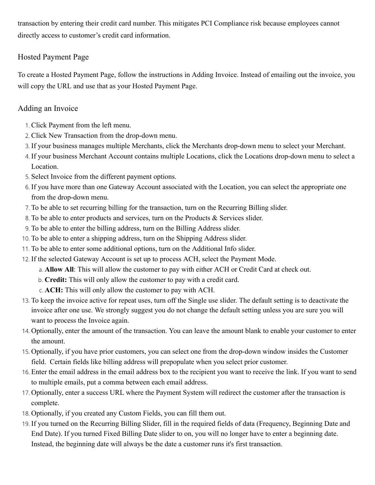transaction by entering their credit card number. This mitigates PCI Compliance risk because employees cannot directly access to customer's credit card information.

#### <span id="page-27-0"></span>Hosted Payment Page

To create a Hosted Payment Page, follow the instructions in Adding Invoice. Instead of emailing out the invoice, you will copy the URL and use that as your Hosted Payment Page.

#### Adding an Invoice

- 1. Click Payment from the left menu.
- 2. Click New Transaction from the drop-down menu.
- 3. If your business manages multiple Merchants, click the Merchants drop-down menu to select your Merchant.
- 4. If your business Merchant Account contains multiple Locations, click the Locations drop-down menu to select a Location.
- 5. Select Invoice from the different payment options.
- 6. If you have more than one Gateway Account associated with the Location, you can select the appropriate one from the drop-down menu.
- 7. To be able to set recurring billing for the transaction, turn on the Recurring Billing slider.
- 8. To be able to enter products and services, turn on the Products & Services slider.
- 9. To be able to enter the billing address, turn on the Billing Address slider.
- 10. To be able to enter a shipping address, turn on the Shipping Address slider.
- 11. To be able to enter some additional options, turn on the Additional Info slider.
- 12. If the selected Gateway Account is set up to process ACH, select the Payment Mode.
	- a. **Allow All**: This will allow the customer to pay with either ACH or Credit Card at check out.
	- b. **Credit:** This will only allow the customer to pay with a credit card.
	- c. **ACH:** This will only allow the customer to pay with ACH.
- 13. To keep the invoice active for repeat uses, turn off the Single use slider. The default setting is to deactivate the invoice after one use. We strongly suggest you do not change the default setting unless you are sure you will want to process the Invoice again.
- 14. Optionally, enter the amount of the transaction. You can leave the amount blank to enable your customer to enter the amount.
- 15. Optionally, if you have prior customers, you can select one from the drop-down window insides the Customer field. Certain fields like billing address will prepopulate when you select prior customer.
- 16. Enter the email address in the email address box to the recipient you want to receive the link. If you want to send to multiple emails, put a comma between each email address.
- 17. Optionally, enter a success URL where the Payment System will redirect the customer after the transaction is complete.
- 18. Optionally, if you created any Custom Fields, you can fill them out.
- 19. If you turned on the Recurring Billing Slider, fill in the required fields of data (Frequency, Beginning Date and End Date). If you turned Fixed Billing Date slider to on, you will no longer have to enter a beginning date. Instead, the beginning date will always be the date a customer runs it's first transaction.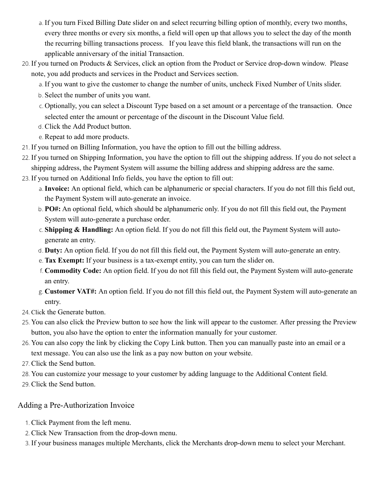- a. If you turn Fixed Billing Date slider on and select recurring billing option of monthly, every two months, every three months or every six months, a field will open up that allows you to select the day of the month the recurring billing transactions process. If you leave this field blank, the transactions will run on the applicable anniversary of the initial Transaction.
- 20. If you turned on Products & Services, click an option from the Product or Service drop-down window. Please note, you add products and services in the Product and Services section.
	- a. If you want to give the customer to change the number of units, uncheck Fixed Number of Units slider.
	- b. Select the number of units you want.
	- c. Optionally, you can select a Discount Type based on a set amount or a percentage of the transaction. Once selected enter the amount or percentage of the discount in the Discount Value field.
	- d. Click the Add Product button.
	- e. Repeat to add more products.
- 21. If you turned on Billing Information, you have the option to fill out the billing address.
- 22. If you turned on Shipping Information, you have the option to fill out the shipping address. If you do not select a shipping address, the Payment System will assume the billing address and shipping address are the same.
- 23. If you turned on Additional Info fields, you have the option to fill out:
	- a.**Invoice:** An optional field, which can be alphanumeric or special characters. If you do not fill this field out, the Payment System will auto-generate an invoice.
	- b. **PO#:** An optional field, which should be alphanumeric only. If you do not fill this field out, the Payment System will auto-generate a purchase order.
	- c. **Shipping & Handling:** An option field. If you do not fill this field out, the Payment System will autogenerate an entry.
	- d. **Duty:** An option field. If you do not fill this field out, the Payment System will auto-generate an entry.
	- e. **Tax Exempt:** If your business is a tax-exempt entity, you can turn the slider on.
	- f. **Commodity Code:** An option field. If you do not fill this field out, the Payment System will auto-generate an entry.
	- g. **Customer VAT#:** An option field. If you do not fill this field out, the Payment System will auto-generate an entry.
- 24. Click the Generate button.
- 25. You can also click the Preview button to see how the link will appear to the customer. After pressing the Preview button, you also have the option to enter the information manually for your customer.
- 26. You can also copy the link by clicking the Copy Link button. Then you can manually paste into an email or a text message. You can also use the link as a pay now button on your website.
- 27. Click the Send button.
- 28. You can customize your message to your customer by adding language to the Additional Content field.
- 29. Click the Send button.

#### Adding a Pre-Authorization Invoice

- 1. Click Payment from the left menu.
- 2. Click New Transaction from the drop-down menu.
- 3. If your business manages multiple Merchants, click the Merchants drop-down menu to select your Merchant.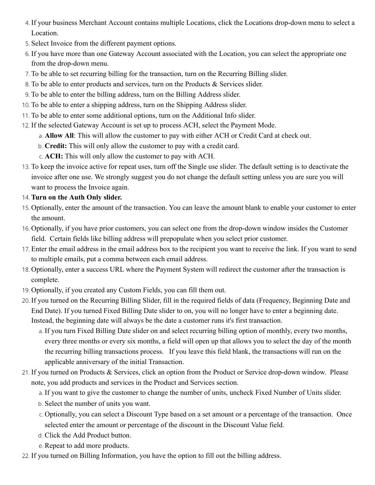- 4. If your business Merchant Account contains multiple Locations, click the Locations drop-down menu to select a Location.
- 5. Select Invoice from the different payment options.
- 6. If you have more than one Gateway Account associated with the Location, you can select the appropriate one from the drop-down menu.
- 7. To be able to set recurring billing for the transaction, turn on the Recurring Billing slider.
- 8. To be able to enter products and services, turn on the Products & Services slider.
- 9. To be able to enter the billing address, turn on the Billing Address slider.
- 10. To be able to enter a shipping address, turn on the Shipping Address slider.
- 11. To be able to enter some additional options, turn on the Additional Info slider.
- 12. If the selected Gateway Account is set up to process ACH, select the Payment Mode.
	- a. **Allow All**: This will allow the customer to pay with either ACH or Credit Card at check out.
	- b. **Credit:** This will only allow the customer to pay with a credit card.
	- c. **ACH:** This will only allow the customer to pay with ACH.
- 13. To keep the invoice active for repeat uses, turn off the Single use slider. The default setting is to deactivate the invoice after one use. We strongly suggest you do not change the default setting unless you are sure you will want to process the Invoice again.
- 14. **Turn on the Auth Only slider.**
- 15. Optionally, enter the amount of the transaction. You can leave the amount blank to enable your customer to enter the amount.
- 16. Optionally, if you have prior customers, you can select one from the drop-down window insides the Customer field. Certain fields like billing address will prepopulate when you select prior customer.
- 17. Enter the email address in the email address box to the recipient you want to receive the link. If you want to send to multiple emails, put a comma between each email address.
- 18. Optionally, enter a success URL where the Payment System will redirect the customer after the transaction is complete.
- 19. Optionally, if you created any Custom Fields, you can fill them out.
- 20. If you turned on the Recurring Billing Slider, fill in the required fields of data (Frequency, Beginning Date and End Date). If you turned Fixed Billing Date slider to on, you will no longer have to enter a beginning date. Instead, the beginning date will always be the date a customer runs it's first transaction.
	- a. If you turn Fixed Billing Date slider on and select recurring billing option of monthly, every two months, every three months or every six months, a field will open up that allows you to select the day of the month the recurring billing transactions process. If you leave this field blank, the transactions will run on the applicable anniversary of the initial Transaction.
- 21. If you turned on Products & Services, click an option from the Product or Service drop-down window. Please note, you add products and services in the Product and Services section.
	- a. If you want to give the customer to change the number of units, uncheck Fixed Number of Units slider.
	- b. Select the number of units you want.
	- c. Optionally, you can select a Discount Type based on a set amount or a percentage of the transaction. Once selected enter the amount or percentage of the discount in the Discount Value field.
	- d. Click the Add Product button.
	- e. Repeat to add more products.
- 22. If you turned on Billing Information, you have the option to fill out the billing address.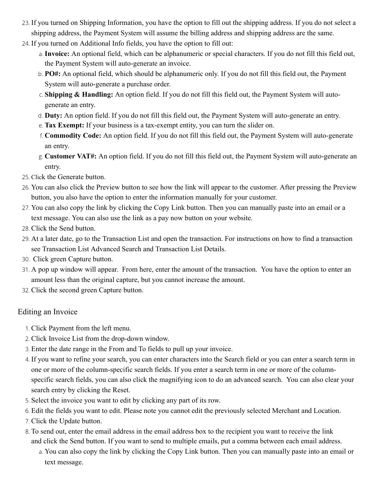- 23. If you turned on Shipping Information, you have the option to fill out the shipping address. If you do not select a shipping address, the Payment System will assume the billing address and shipping address are the same.
- 24. If you turned on Additional Info fields, you have the option to fill out:
	- a.**Invoice:** An optional field, which can be alphanumeric or special characters. If you do not fill this field out, the Payment System will auto-generate an invoice.
	- b. **PO#:** An optional field, which should be alphanumeric only. If you do not fill this field out, the Payment System will auto-generate a purchase order.
	- c. **Shipping & Handling:** An option field. If you do not fill this field out, the Payment System will autogenerate an entry.
	- d. **Duty:** An option field. If you do not fill this field out, the Payment System will auto-generate an entry.
	- e. **Tax Exempt:** If your business is a tax-exempt entity, you can turn the slider on.
	- f. **Commodity Code:** An option field. If you do not fill this field out, the Payment System will auto-generate an entry.
	- g. **Customer VAT#:** An option field. If you do not fill this field out, the Payment System will auto-generate an entry.
- 25. Click the Generate button.
- 26. You can also click the Preview button to see how the link will appear to the customer. After pressing the Preview button, you also have the option to enter the information manually for your customer.
- 27. You can also copy the link by clicking the Copy Link button. Then you can manually paste into an email or a text message. You can also use the link as a pay now button on your website.
- 28. Click the Send button.
- 29. At a later date, go to the Transaction List and open the transaction. For instructions on how to find a transaction see Transaction List Advanced Search and Transaction List Details.
- 30. Click green Capture button.
- 31. A pop up window will appear. From here, enter the amount of the transaction. You have the option to enter an amount less than the original capture, but you cannot increase the amount.
- 32. Click the second green Capture button.

#### <span id="page-30-0"></span>Editing an Invoice

- 1. Click Payment from the left menu.
- 2. Click Invoice List from the drop-down window.
- 3. Enter the date range in the From and To fields to pull up your invoice.
- 4. If you want to refine your search, you can enter characters into the Search field or you can enter a search term in one or more of the column-specific search fields. If you enter a search term in one or more of the columnspecific search fields, you can also click the magnifying icon to do an advanced search. You can also clear your search entry by clicking the Reset.
- 5. Select the invoice you want to edit by clicking any part of its row.
- 6. Edit the fields you want to edit. Please note you cannot edit the previously selected Merchant and Location.
- 7. Click the Update button.
- 8. To send out, enter the email address in the email address box to the recipient you want to receive the link and click the Send button. If you want to send to multiple emails, put a comma between each email address.
	- a. You can also copy the link by clicking the Copy Link button. Then you can manually paste into an email or text message.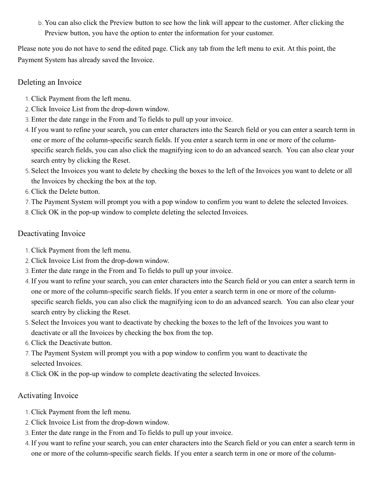b. You can also click the Preview button to see how the link will appear to the customer. After clicking the Preview button, you have the option to enter the information for your customer.

Please note you do not have to send the edited page. Click any tab from the left menu to exit. At this point, the Payment System has already saved the Invoice.

#### Deleting an Invoice

- 1. Click Payment from the left menu.
- 2. Click Invoice List from the drop-down window.
- 3. Enter the date range in the From and To fields to pull up your invoice.
- 4. If you want to refine your search, you can enter characters into the Search field or you can enter a search term in one or more of the column-specific search fields. If you enter a search term in one or more of the columnspecific search fields, you can also click the magnifying icon to do an advanced search. You can also clear your search entry by clicking the Reset.
- 5. Select the Invoices you want to delete by checking the boxes to the left of the Invoices you want to delete or all the Invoices by checking the box at the top.
- 6. Click the Delete button.
- 7. The Payment System will prompt you with a pop window to confirm you want to delete the selected Invoices.
- 8. Click OK in the pop-up window to complete deleting the selected Invoices.

#### <span id="page-31-0"></span>Deactivating Invoice

- 1. Click Payment from the left menu.
- 2. Click Invoice List from the drop-down window.
- 3. Enter the date range in the From and To fields to pull up your invoice.
- 4. If you want to refine your search, you can enter characters into the Search field or you can enter a search term in one or more of the column-specific search fields. If you enter a search term in one or more of the columnspecific search fields, you can also click the magnifying icon to do an advanced search. You can also clear your search entry by clicking the Reset.
- 5. Select the Invoices you want to deactivate by checking the boxes to the left of the Invoices you want to deactivate or all the Invoices by checking the box from the top.
- 6. Click the Deactivate button.
- 7. The Payment System will prompt you with a pop window to confirm you want to deactivate the selected Invoices.
- 8. Click OK in the pop-up window to complete deactivating the selected Invoices.

#### <span id="page-31-1"></span>Activating Invoice

- 1. Click Payment from the left menu.
- 2. Click Invoice List from the drop-down window.
- 3. Enter the date range in the From and To fields to pull up your invoice.
- 4. If you want to refine your search, you can enter characters into the Search field or you can enter a search term in one or more of the column-specific search fields. If you enter a search term in one or more of the column-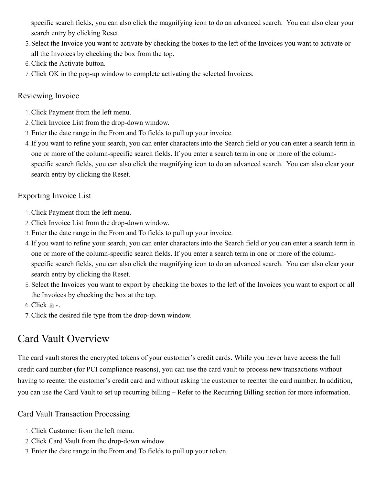specific search fields, you can also click the magnifying icon to do an advanced search. You can also clear your search entry by clicking Reset.

- 5. Select the Invoice you want to activate by checking the boxes to the left of the Invoices you want to activate or all the Invoices by checking the box from the top.
- 6. Click the Activate button.
- 7. Click OK in the pop-up window to complete activating the selected Invoices.

#### <span id="page-32-0"></span>Reviewing Invoice

- 1. Click Payment from the left menu.
- 2. Click Invoice List from the drop-down window.
- 3. Enter the date range in the From and To fields to pull up your invoice.
- 4. If you want to refine your search, you can enter characters into the Search field or you can enter a search term in one or more of the column-specific search fields. If you enter a search term in one or more of the columnspecific search fields, you can also click the magnifying icon to do an advanced search. You can also clear your search entry by clicking the Reset.

#### <span id="page-32-1"></span>Exporting Invoice List

- 1. Click Payment from the left menu.
- 2. Click Invoice List from the drop-down window.
- 3. Enter the date range in the From and To fields to pull up your invoice.
- 4. If you want to refine your search, you can enter characters into the Search field or you can enter a search term in one or more of the column-specific search fields. If you enter a search term in one or more of the columnspecific search fields, you can also click the magnifying icon to do an advanced search. You can also clear your search entry by clicking the Reset.
- 5. Select the Invoices you want to export by checking the boxes to the left of the Invoices you want to export or all the Invoices by checking the box at the top.
- 6. Click  $\mathbb{R}$  .
- 7. Click the desired file type from the drop-down window.

# <span id="page-32-2"></span>Card Vault Overview

The card vault stores the encrypted tokens of your customer's credit cards. While you never have access the full credit card number (for PCI compliance reasons), you can use the card vault to process new transactions without having to reenter the customer's credit card and without asking the customer to reenter the card number. In addition, you can use the Card Vault to set up recurring billing – Refer to the Recurring Billing section for more information.

#### <span id="page-32-3"></span>Card Vault Transaction Processing

- 1. Click Customer from the left menu.
- 2. Click Card Vault from the drop-down window.
- 3. Enter the date range in the From and To fields to pull up your token.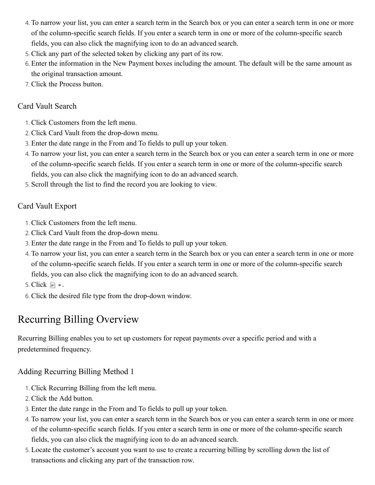- 4. To narrow your list, you can enter a search term in the Search box or you can enter a search term in one or more of the column-specific search fields. If you enter a search term in one or more of the column-specific search fields, you can also click the magnifying icon to do an advanced search.
- 5. Click any part of the selected token by clicking any part of its row.
- 6. Enter the information in the New Payment boxes including the amount. The default will be the same amount as the original transaction amount.
- 7. Click the Process button.

#### <span id="page-33-0"></span>Card Vault Search

- 1. Click Customers from the left menu.
- 2. Click Card Vault from the drop-down menu.
- 3. Enter the date range in the From and To fields to pull up your token.
- 4. To narrow your list, you can enter a search term in the Search box or you can enter a search term in one or more of the column-specific search fields. If you enter a search term in one or more of the column-specific search fields, you can also click the magnifying icon to do an advanced search.
- 5. Scroll through the list to find the record you are looking to view.

#### <span id="page-33-1"></span>Card Vault Export

- 1. Click Customers from the left menu.
- 2. Click Card Vault from the drop-down menu.
- 3. Enter the date range in the From and To fields to pull up your token.
- 4. To narrow your list, you can enter a search term in the Search box or you can enter a search term in one or more of the column-specific search fields. If you enter a search term in one or more of the column-specific search fields, you can also click the magnifying icon to do an advanced search.
- 5. Click  $\blacksquare$  .
- 6. Click the desired file type from the drop-down window.

# <span id="page-33-2"></span>Recurring Billing Overview

Recurring Billing enables you to set up customers for repeat payments over a specific period and with a predetermined frequency.

#### <span id="page-33-3"></span>Adding Recurring Billing Method 1

- 1. Click Recurring Billing from the left menu.
- 2. Click the Add button.
- 3. Enter the date range in the From and To fields to pull up your token.
- 4. To narrow your list, you can enter a search term in the Search box or you can enter a search term in one or more of the column-specific search fields. If you enter a search term in one or more of the column-specific search fields, you can also click the magnifying icon to do an advanced search.
- 5. Locate the customer's account you want to use to create a recurring billing by scrolling down the list of transactions and clicking any part of the transaction row.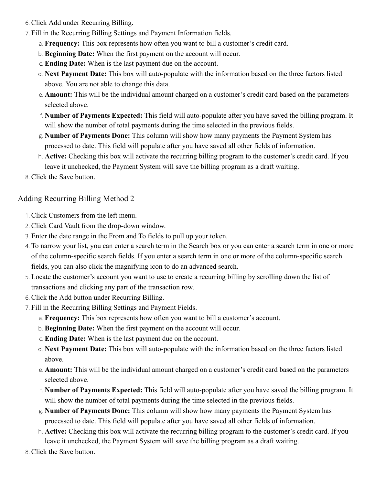- 6. Click Add under Recurring Billing.
- 7. Fill in the Recurring Billing Settings and Payment Information fields.
	- a. **Frequency:** This box represents how often you want to bill a customer's credit card.
	- b. **Beginning Date:** When the first payment on the account will occur.
	- c. **Ending Date:** When is the last payment due on the account.
	- d. **Next Payment Date:** This box will auto-populate with the information based on the three factors listed above. You are not able to change this data.
	- e. **Amount:** This will be the individual amount charged on a customer's credit card based on the parameters selected above.
	- f. **Number of Payments Expected:** This field will auto-populate after you have saved the billing program. It will show the number of total payments during the time selected in the previous fields.
	- g. **Number of Payments Done:** This column will show how many payments the Payment System has processed to date. This field will populate after you have saved all other fields of information.
	- h. **Active:** Checking this box will activate the recurring billing program to the customer's credit card. If you leave it unchecked, the Payment System will save the billing program as a draft waiting.
- 8. Click the Save button.

#### <span id="page-34-0"></span>Adding Recurring Billing Method 2

- 1. Click Customers from the left menu.
- 2. Click Card Vault from the drop-down window.
- 3. Enter the date range in the From and To fields to pull up your token.
- 4. To narrow your list, you can enter a search term in the Search box or you can enter a search term in one or more of the column-specific search fields. If you enter a search term in one or more of the column-specific search fields, you can also click the magnifying icon to do an advanced search.
- 5. Locate the customer's account you want to use to create a recurring billing by scrolling down the list of transactions and clicking any part of the transaction row.
- 6. Click the Add button under Recurring Billing.
- 7. Fill in the Recurring Billing Settings and Payment Fields.
	- a. **Frequency:** This box represents how often you want to bill a customer's account.
	- b. **Beginning Date:** When the first payment on the account will occur.
	- c. **Ending Date:** When is the last payment due on the account.
	- d. **Next Payment Date:** This box will auto-populate with the information based on the three factors listed above.
	- e. **Amount:** This will be the individual amount charged on a customer's credit card based on the parameters selected above.
	- f. **Number of Payments Expected:** This field will auto-populate after you have saved the billing program. It will show the number of total payments during the time selected in the previous fields.
	- g. **Number of Payments Done:** This column will show how many payments the Payment System has processed to date. This field will populate after you have saved all other fields of information.
	- h. **Active:** Checking this box will activate the recurring billing program to the customer's credit card. If you leave it unchecked, the Payment System will save the billing program as a draft waiting.
- 8. Click the Save button.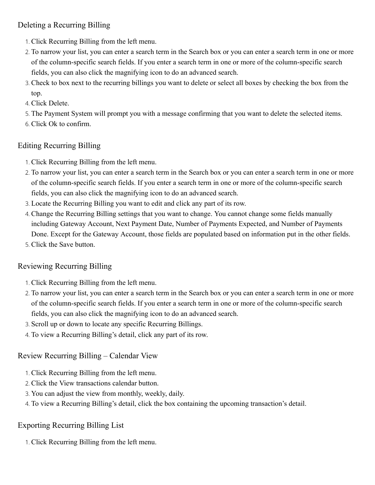#### <span id="page-35-0"></span>Deleting a Recurring Billing

- 1. Click Recurring Billing from the left menu.
- 2. To narrow your list, you can enter a search term in the Search box or you can enter a search term in one or more of the column-specific search fields. If you enter a search term in one or more of the column-specific search fields, you can also click the magnifying icon to do an advanced search.
- 3. Check to box next to the recurring billings you want to delete or select all boxes by checking the box from the top.
- 4. Click Delete.
- 5. The Payment System will prompt you with a message confirming that you want to delete the selected items.
- 6. Click Ok to confirm.

#### <span id="page-35-1"></span>Editing Recurring Billing

- 1. Click Recurring Billing from the left menu.
- 2. To narrow your list, you can enter a search term in the Search box or you can enter a search term in one or more of the column-specific search fields. If you enter a search term in one or more of the column-specific search fields, you can also click the magnifying icon to do an advanced search.
- 3. Locate the Recurring Billing you want to edit and click any part of its row.
- 4. Change the Recurring Billing settings that you want to change. You cannot change some fields manually including Gateway Account, Next Payment Date, Number of Payments Expected, and Number of Payments Done. Except for the Gateway Account, those fields are populated based on information put in the other fields.
- 5. Click the Save button.

#### <span id="page-35-2"></span>Reviewing Recurring Billing

- 1. Click Recurring Billing from the left menu.
- 2. To narrow your list, you can enter a search term in the Search box or you can enter a search term in one or more of the column-specific search fields. If you enter a search term in one or more of the column-specific search fields, you can also click the magnifying icon to do an advanced search.
- 3. Scroll up or down to locate any specific Recurring Billings.
- 4. To view a Recurring Billing's detail, click any part of its row.

### Review Recurring Billing – Calendar View

- 1. Click Recurring Billing from the left menu.
- 2. Click the View transactions calendar button.
- 3. You can adjust the view from monthly, weekly, daily.
- 4. To view a Recurring Billing's detail, click the box containing the upcoming transaction's detail.

### Exporting Recurring Billing List

1. Click Recurring Billing from the left menu.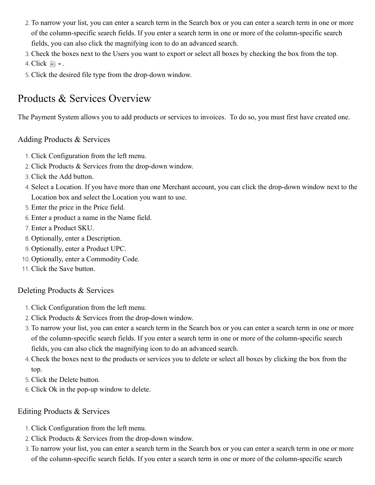- 2. To narrow your list, you can enter a search term in the Search box or you can enter a search term in one or more of the column-specific search fields. If you enter a search term in one or more of the column-specific search fields, you can also click the magnifying icon to do an advanced search.
- 3. Check the boxes next to the Users you want to export or select all boxes by checking the box from the top.

4. Click  $\blacksquare$  .

5. Click the desired file type from the drop-down window.

## <span id="page-36-0"></span>Products & Services Overview

The Payment System allows you to add products or services to invoices. To do so, you must first have created one.

#### Adding Products & Services

- 1. Click Configuration from the left menu.
- 2. Click Products & Services from the drop-down window.
- 3. Click the Add button.
- 4. Select a Location. If you have more than one Merchant account, you can click the drop-down window next to the Location box and select the Location you want to use.
- 5. Enter the price in the Price field.
- 6. Enter a product a name in the Name field.
- 7. Enter a Product SKU.
- 8. Optionally, enter a Description.
- 9. Optionally, enter a Product UPC.
- 10. Optionally, enter a Commodity Code.
- 11. Click the Save button.

#### <span id="page-36-1"></span>Deleting Products & Services

- 1. Click Configuration from the left menu.
- 2. Click Products & Services from the drop-down window.
- 3. To narrow your list, you can enter a search term in the Search box or you can enter a search term in one or more of the column-specific search fields. If you enter a search term in one or more of the column-specific search fields, you can also click the magnifying icon to do an advanced search.
- 4. Check the boxes next to the products or services you to delete or select all boxes by clicking the box from the top.
- 5. Click the Delete button.
- 6. Click Ok in the pop-up window to delete.

#### <span id="page-36-2"></span>Editing Products & Services

- 1. Click Configuration from the left menu.
- 2. Click Products & Services from the drop-down window.
- 3. To narrow your list, you can enter a search term in the Search box or you can enter a search term in one or more of the column-specific search fields. If you enter a search term in one or more of the column-specific search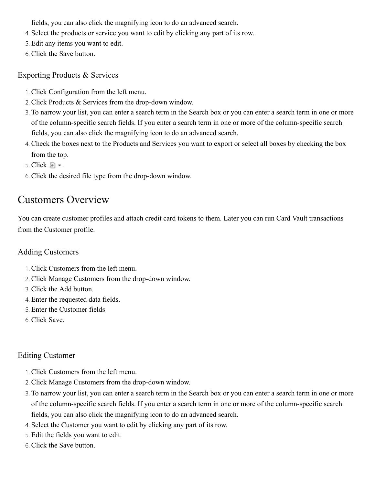fields, you can also click the magnifying icon to do an advanced search.

- 4. Select the products or service you want to edit by clicking any part of its row.
- 5. Edit any items you want to edit.
- 6. Click the Save button.

#### <span id="page-37-0"></span>Exporting Products & Services

- 1. Click Configuration from the left menu.
- 2. Click Products & Services from the drop-down window.
- 3. To narrow your list, you can enter a search term in the Search box or you can enter a search term in one or more of the column-specific search fields. If you enter a search term in one or more of the column-specific search fields, you can also click the magnifying icon to do an advanced search.
- 4. Check the boxes next to the Products and Services you want to export or select all boxes by checking the box from the top.
- 5. Click  $\blacksquare$  .
- 6. Click the desired file type from the drop-down window.

## <span id="page-37-1"></span>Customers Overview

You can create customer profiles and attach credit card tokens to them. Later you can run Card Vault transactions from the Customer profile.

#### Adding Customers

- 1. Click Customers from the left menu.
- 2. Click Manage Customers from the drop-down window.
- 3. Click the Add button.
- 4. Enter the requested data fields.
- 5. Enter the Customer fields
- 6. Click Save.

#### Editing Customer

- 1. Click Customers from the left menu.
- 2. Click Manage Customers from the drop-down window.
- 3. To narrow your list, you can enter a search term in the Search box or you can enter a search term in one or more of the column-specific search fields. If you enter a search term in one or more of the column-specific search fields, you can also click the magnifying icon to do an advanced search.
- 4. Select the Customer you want to edit by clicking any part of its row.
- 5. Edit the fields you want to edit.
- 6. Click the Save button.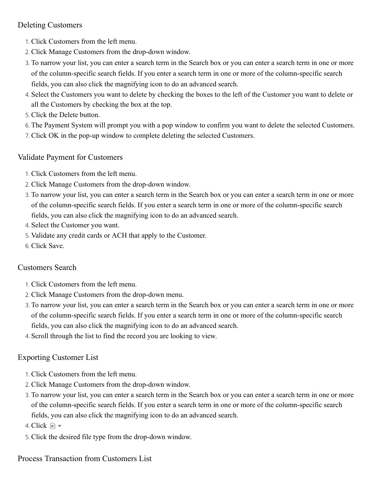#### Deleting Customers

- 1. Click Customers from the left menu.
- 2. Click Manage Customers from the drop-down window.
- 3. To narrow your list, you can enter a search term in the Search box or you can enter a search term in one or more of the column-specific search fields. If you enter a search term in one or more of the column-specific search fields, you can also click the magnifying icon to do an advanced search.
- 4. Select the Customers you want to delete by checking the boxes to the left of the Customer you want to delete or all the Customers by checking the box at the top.
- 5. Click the Delete button.
- 6. The Payment System will prompt you with a pop window to confirm you want to delete the selected Customers.
- 7. Click OK in the pop-up window to complete deleting the selected Customers.

#### <span id="page-38-0"></span>Validate Payment for Customers

- 1. Click Customers from the left menu.
- 2. Click Manage Customers from the drop-down window.
- 3. To narrow your list, you can enter a search term in the Search box or you can enter a search term in one or more of the column-specific search fields. If you enter a search term in one or more of the column-specific search fields, you can also click the magnifying icon to do an advanced search.
- 4. Select the Customer you want.
- 5. Validate any credit cards or ACH that apply to the Customer.
- 6. Click Save.

#### <span id="page-38-1"></span>Customers Search

- 1. Click Customers from the left menu.
- 2. Click Manage Customers from the drop-down menu.
- 3. To narrow your list, you can enter a search term in the Search box or you can enter a search term in one or more of the column-specific search fields. If you enter a search term in one or more of the column-specific search fields, you can also click the magnifying icon to do an advanced search.
- 4. Scroll through the list to find the record you are looking to view.

#### Exporting Customer List

- 1. Click Customers from the left menu.
- 2. Click Manage Customers from the drop-down window.
- 3. To narrow your list, you can enter a search term in the Search box or you can enter a search term in one or more of the column-specific search fields. If you enter a search term in one or more of the column-specific search fields, you can also click the magnifying icon to do an advanced search.

4. Click  $\blacksquare$  -

5. Click the desired file type from the drop-down window.

#### <span id="page-38-2"></span>Process Transaction from Customers List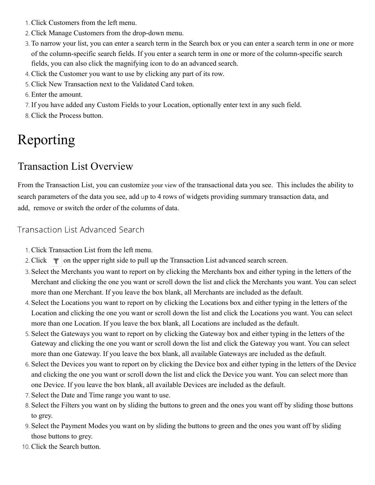- 1. Click Customers from the left menu.
- 2. Click Manage Customers from the drop-down menu.
- 3. To narrow your list, you can enter a search term in the Search box or you can enter a search term in one or more of the column-specific search fields. If you enter a search term in one or more of the column-specific search fields, you can also click the magnifying icon to do an advanced search.
- 4. Click the Customer you want to use by clicking any part of its row.
- 5. Click New Transaction next to the Validated Card token.
- 6. Enter the amount.
- 7. If you have added any Custom Fields to your Location, optionally enter text in any such field.
- 8. Click the Process button.

# <span id="page-39-0"></span>Reporting

# <span id="page-39-1"></span>Transaction List Overview

From the Transaction List, you can customize your view of the transactional data you see. This includes the ability to search parameters of the data you see, add up to 4 rows of widgets providing summary transaction data, and add, remove or switch the order of the columns of data.

#### <span id="page-39-2"></span>Transaction List Advanced Search

- 1. Click Transaction List from the left menu.
- 2. Click  $\bullet$  on the upper right side to pull up the Transaction List advanced search screen.
- 3. Select the Merchants you want to report on by clicking the Merchants box and either typing in the letters of the Merchant and clicking the one you want or scroll down the list and click the Merchants you want. You can select more than one Merchant. If you leave the box blank, all Merchants are included as the default.
- 4. Select the Locations you want to report on by clicking the Locations box and either typing in the letters of the Location and clicking the one you want or scroll down the list and click the Locations you want. You can select more than one Location. If you leave the box blank, all Locations are included as the default.
- 5. Select the Gateways you want to report on by clicking the Gateway box and either typing in the letters of the Gateway and clicking the one you want or scroll down the list and click the Gateway you want. You can select more than one Gateway. If you leave the box blank, all available Gateways are included as the default.
- 6. Select the Devices you want to report on by clicking the Device box and either typing in the letters of the Device and clicking the one you want or scroll down the list and click the Device you want. You can select more than one Device. If you leave the box blank, all available Devices are included as the default.
- 7. Select the Date and Time range you want to use.
- 8. Select the Filters you want on by sliding the buttons to green and the ones you want off by sliding those buttons to grey.
- 9. Select the Payment Modes you want on by sliding the buttons to green and the ones you want off by sliding those buttons to grey.
- 10. Click the Search button.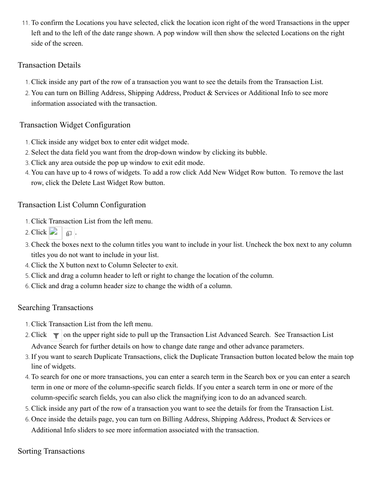11. To confirm the Locations you have selected, click the location icon right of the word Transactions in the upper left and to the left of the date range shown. A pop window will then show the selected Locations on the right side of the screen.

#### <span id="page-40-0"></span>Transaction Details

- 1. Click inside any part of the row of a transaction you want to see the details from the Transaction List.
- 2. You can turn on Billing Address, Shipping Address, Product & Services or Additional Info to see more information associated with the transaction.

#### <span id="page-40-1"></span>Transaction Widget Configuration

- 1. Click inside any widget box to enter edit widget mode.
- 2. Select the data field you want from the drop-down window by clicking its bubble.
- 3. Click any area outside the pop up window to exit edit mode.
- 4. You can have up to 4 rows of widgets. To add a row click Add New Widget Row button. To remove the last row, click the Delete Last Widget Row button.

#### <span id="page-40-2"></span>Transaction List Column Configuration

- 1. Click Transaction List from the left menu.
- 2. Click  $\begin{bmatrix} 1 \\ -1 \end{bmatrix}$   $\begin{bmatrix} 1 \\ \end{bmatrix}$ .
- 3. Check the boxes next to the column titles you want to include in your list. Uncheck the box next to any column titles you do not want to include in your list.
- 4. Click the X button next to Column Selecter to exit.
- 5. Click and drag a column header to left or right to change the location of the column.
- 6. Click and drag a column header size to change the width of a column.

#### Searching Transactions

- 1. Click Transaction List from the left menu.
- 2. Click  $\blacksquare$  on the upper right side to pull up the Transaction List Advanced Search. See Transaction List Advance Search for further details on how to change date range and other advance parameters.
- 3. If you want to search Duplicate Transactions, click the Duplicate Transaction button located below the main top line of widgets.
- 4. To search for one or more transactions, you can enter a search term in the Search box or you can enter a search term in one or more of the column-specific search fields. If you enter a search term in one or more of the column-specific search fields, you can also click the magnifying icon to do an advanced search.
- 5. Click inside any part of the row of a transaction you want to see the details for from the Transaction List.
- 6. Once inside the details page, you can turn on Billing Address, Shipping Address, Product & Services or Additional Info sliders to see more information associated with the transaction.

#### Sorting Transactions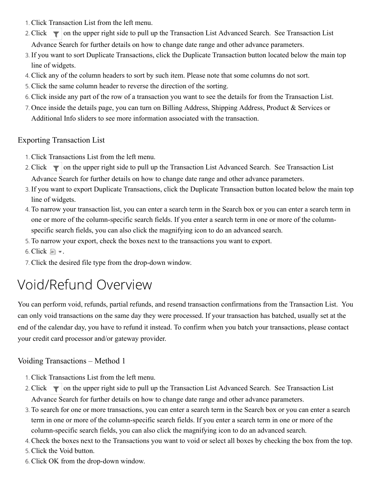- 1. Click Transaction List from the left menu.
- 2. Click  $\blacksquare$  on the upper right side to pull up the Transaction List Advanced Search. See Transaction List Advance Search for further details on how to change date range and other advance parameters.
- 3. If you want to sort Duplicate Transactions, click the Duplicate Transaction button located below the main top line of widgets.
- 4. Click any of the column headers to sort by such item. Please note that some columns do not sort.
- 5. Click the same column header to reverse the direction of the sorting.
- 6. Click inside any part of the row of a transaction you want to see the details for from the Transaction List.
- 7. Once inside the details page, you can turn on Billing Address, Shipping Address, Product & Services or Additional Info sliders to see more information associated with the transaction.

#### <span id="page-41-0"></span>Exporting Transaction List

- 1. Click Transactions List from the left menu.
- 2. Click  $\blacksquare$  on the upper right side to pull up the Transaction List Advanced Search. See Transaction List Advance Search for further details on how to change date range and other advance parameters.
- 3. If you want to export Duplicate Transactions, click the Duplicate Transaction button located below the main top line of widgets.
- 4. To narrow your transaction list, you can enter a search term in the Search box or you can enter a search term in one or more of the column-specific search fields. If you enter a search term in one or more of the columnspecific search fields, you can also click the magnifying icon to do an advanced search.
- 5. To narrow your export, check the boxes next to the transactions you want to export.
- 6. Click  $\blacksquare$  .
- 7. Click the desired file type from the drop-down window.

# <span id="page-41-1"></span>Void/Refund Overview

You can perform void, refunds, partial refunds, and resend transaction confirmations from the Transaction List. You can only void transactions on the same day they were processed. If your transaction has batched, usually set at the end of the calendar day, you have to refund it instead. To confirm when you batch your transactions, please contact your credit card processor and/or gateway provider.

#### <span id="page-41-2"></span>Voiding Transactions – Method 1

- 1. Click Transactions List from the left menu.
- 2. Click  $\blacksquare$  on the upper right side to pull up the Transaction List Advanced Search. See Transaction List Advance Search for further details on how to change date range and other advance parameters.
- 3. To search for one or more transactions, you can enter a search term in the Search box or you can enter a search term in one or more of the column-specific search fields. If you enter a search term in one or more of the column-specific search fields, you can also click the magnifying icon to do an advanced search.
- 4. Check the boxes next to the Transactions you want to void or select all boxes by checking the box from the top.
- 5. Click the Void button.
- 6. Click OK from the drop-down window.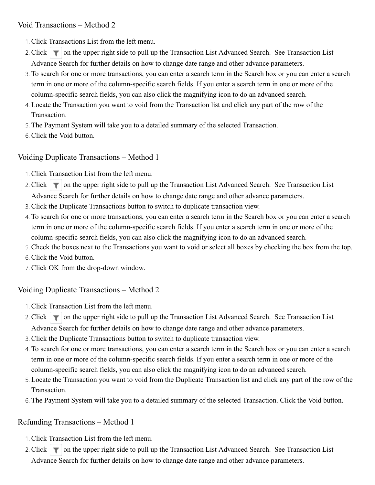<span id="page-42-0"></span>Void Transactions – Method 2

- 1. Click Transactions List from the left menu.
- 2. Click  $\blacksquare$  on the upper right side to pull up the Transaction List Advanced Search. See Transaction List Advance Search for further details on how to change date range and other advance parameters.
- 3. To search for one or more transactions, you can enter a search term in the Search box or you can enter a search term in one or more of the column-specific search fields. If you enter a search term in one or more of the column-specific search fields, you can also click the magnifying icon to do an advanced search.
- 4. Locate the Transaction you want to void from the Transaction list and click any part of the row of the Transaction.
- 5. The Payment System will take you to a detailed summary of the selected Transaction.
- 6. Click the Void button.

#### <span id="page-42-1"></span>Voiding Duplicate Transactions – Method 1

- 1. Click Transaction List from the left menu.
- 2. Click  $\blacksquare$  on the upper right side to pull up the Transaction List Advanced Search. See Transaction List Advance Search for further details on how to change date range and other advance parameters.
- 3. Click the Duplicate Transactions button to switch to duplicate transaction view.
- 4. To search for one or more transactions, you can enter a search term in the Search box or you can enter a search term in one or more of the column-specific search fields. If you enter a search term in one or more of the column-specific search fields, you can also click the magnifying icon to do an advanced search.
- 5. Check the boxes next to the Transactions you want to void or select all boxes by checking the box from the top.
- 6. Click the Void button.
- 7. Click OK from the drop-down window.

#### <span id="page-42-2"></span>Voiding Duplicate Transactions – Method 2

- 1. Click Transaction List from the left menu.
- 2. Click  $\blacksquare$  on the upper right side to pull up the Transaction List Advanced Search. See Transaction List Advance Search for further details on how to change date range and other advance parameters.
- 3. Click the Duplicate Transactions button to switch to duplicate transaction view.
- 4. To search for one or more transactions, you can enter a search term in the Search box or you can enter a search term in one or more of the column-specific search fields. If you enter a search term in one or more of the column-specific search fields, you can also click the magnifying icon to do an advanced search.
- 5. Locate the Transaction you want to void from the Duplicate Transaction list and click any part of the row of the Transaction.
- 6. The Payment System will take you to a detailed summary of the selected Transaction. Click the Void button.

#### <span id="page-42-3"></span>Refunding Transactions – Method 1

- 1. Click Transaction List from the left menu.
- 2. Click  $\blacksquare$  on the upper right side to pull up the Transaction List Advanced Search. See Transaction List Advance Search for further details on how to change date range and other advance parameters.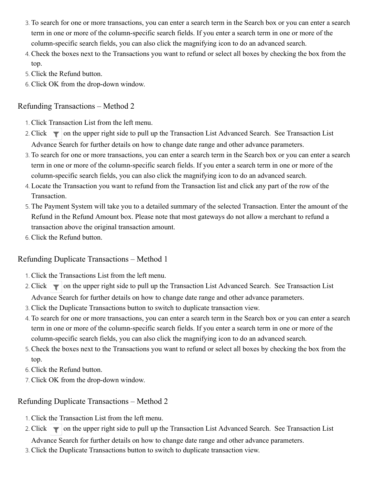- 3. To search for one or more transactions, you can enter a search term in the Search box or you can enter a search term in one or more of the column-specific search fields. If you enter a search term in one or more of the column-specific search fields, you can also click the magnifying icon to do an advanced search.
- 4. Check the boxes next to the Transactions you want to refund or select all boxes by checking the box from the top.
- 5. Click the Refund button.
- 6. Click OK from the drop-down window.

#### <span id="page-43-0"></span>Refunding Transactions – Method 2

- 1. Click Transaction List from the left menu.
- 2. Click  $\blacksquare$  on the upper right side to pull up the Transaction List Advanced Search. See Transaction List Advance Search for further details on how to change date range and other advance parameters.
- 3. To search for one or more transactions, you can enter a search term in the Search box or you can enter a search term in one or more of the column-specific search fields. If you enter a search term in one or more of the column-specific search fields, you can also click the magnifying icon to do an advanced search.
- 4. Locate the Transaction you want to refund from the Transaction list and click any part of the row of the Transaction.
- 5. The Payment System will take you to a detailed summary of the selected Transaction. Enter the amount of the Refund in the Refund Amount box. Please note that most gateways do not allow a merchant to refund a transaction above the original transaction amount.
- 6. Click the Refund button.

#### <span id="page-43-1"></span>Refunding Duplicate Transactions – Method 1

- 1. Click the Transactions List from the left menu.
- 2. Click  $\blacksquare$  on the upper right side to pull up the Transaction List Advanced Search. See Transaction List Advance Search for further details on how to change date range and other advance parameters.
- 3. Click the Duplicate Transactions button to switch to duplicate transaction view.
- 4. To search for one or more transactions, you can enter a search term in the Search box or you can enter a search term in one or more of the column-specific search fields. If you enter a search term in one or more of the column-specific search fields, you can also click the magnifying icon to do an advanced search.
- 5. Check the boxes next to the Transactions you want to refund or select all boxes by checking the box from the top.
- 6. Click the Refund button.
- 7. Click OK from the drop-down window.

#### <span id="page-43-2"></span>Refunding Duplicate Transactions – Method 2

- 1. Click the Transaction List from the left menu.
- 2. Click  $\blacksquare$  on the upper right side to pull up the Transaction List Advanced Search. See Transaction List Advance Search for further details on how to change date range and other advance parameters.
- 3. Click the Duplicate Transactions button to switch to duplicate transaction view.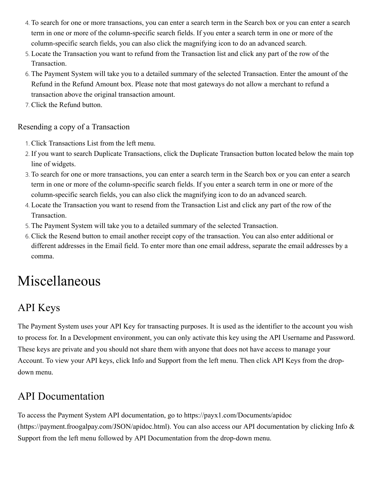- 4. To search for one or more transactions, you can enter a search term in the Search box or you can enter a search term in one or more of the column-specific search fields. If you enter a search term in one or more of the column-specific search fields, you can also click the magnifying icon to do an advanced search.
- 5. Locate the Transaction you want to refund from the Transaction list and click any part of the row of the Transaction.
- 6. The Payment System will take you to a detailed summary of the selected Transaction. Enter the amount of the Refund in the Refund Amount box. Please note that most gateways do not allow a merchant to refund a transaction above the original transaction amount.
- 7. Click the Refund button.

#### <span id="page-44-0"></span>Resending a copy of a Transaction

- 1. Click Transactions List from the left menu.
- 2. If you want to search Duplicate Transactions, click the Duplicate Transaction button located below the main top line of widgets.
- 3. To search for one or more transactions, you can enter a search term in the Search box or you can enter a search term in one or more of the column-specific search fields. If you enter a search term in one or more of the column-specific search fields, you can also click the magnifying icon to do an advanced search.
- 4. Locate the Transaction you want to resend from the Transaction List and click any part of the row of the Transaction.
- 5. The Payment System will take you to a detailed summary of the selected Transaction.
- 6. Click the Resend button to email another receipt copy of the transaction. You can also enter additional or different addresses in the Email field. To enter more than one email address, separate the email addresses by a comma.

# <span id="page-44-1"></span>Miscellaneous

# <span id="page-44-2"></span>API Keys

The Payment System uses your API Key for transacting purposes. It is used as the identifier to the account you wish to process for. In a Development environment, you can only activate this key using the API Username and Password. These keys are private and you should not share them with anyone that does not have access to manage your Account. To view your API keys, click Info and Support from the left menu. Then click API Keys from the dropdown menu.

# <span id="page-44-3"></span>API Documentation

[To access the Payment System API documentation, go to https://payx1.com/Documents/apidoc](https://payment.froogalpay.com/JSON/apidoc.html) (https://payment.froogalpay.com/JSON/apidoc.html). You can also access our API documentation by clicking Info & Support from the left menu followed by API Documentation from the drop-down menu.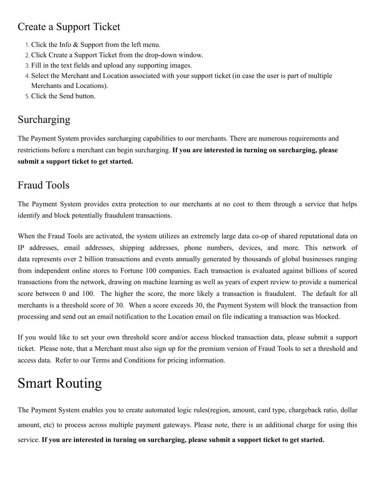## <span id="page-45-0"></span>Create a Support Ticket

- 1. Click the Info & Support from the left menu.
- 2. Click Create a Support Ticket from the drop-down window.
- 3. Fill in the text fields and upload any supporting images.
- 4. Select the Merchant and Location associated with your support ticket (in case the user is part of multiple Merchants and Locations).
- 5. Click the Send button.

# <span id="page-45-2"></span>Surcharging

The Payment System provides surcharging capabilities to our merchants. There are numerous requirements and restrictions before a merchant can begin surcharging. **If you are interested in turning on surcharging, please submit a support ticket to get started.**

## <span id="page-45-3"></span>Fraud Tools

The Payment System provides extra protection to our merchants at no cost to them through a service that helps identify and block potentially fraudulent transactions.

When the Fraud Tools are activated, the system utilizes an extremely large data co-op of shared reputational data on IP addresses, email addresses, shipping addresses, phone numbers, devices, and more. This network of data represents over 2 billion transactions and events annually generated by thousands of global businesses ranging from independent online stores to Fortune 100 companies. Each transaction is evaluated against billions of scored transactions from the network, drawing on machine learning as well as years of expert review to provide a numerical score between 0 and 100. The higher the score, the more likely a transaction is fraudulent. The default for all merchants is a threshold score of 30. When a score exceeds 30, the Payment System will block the transaction from processing and send out an email notification to the Location email on file indicating a transaction was blocked.

If you would like to set your own threshold score and/or access blocked transaction data, please submit a support ticket. Please note, that a Merchant must also sign up for the premium version of Fraud Tools to set a threshold and access data. Refer to our Terms and Conditions for pricing information.

# <span id="page-45-1"></span>Smart Routing

The Payment System enables you to create automated logic rules(region, amount, card type, chargeback ratio, dollar amount, etc) to process across multiple payment gateways. Please note, there is an additional charge for using this service. **If you are interested in turning on surcharging, please submit a support ticket to get started.**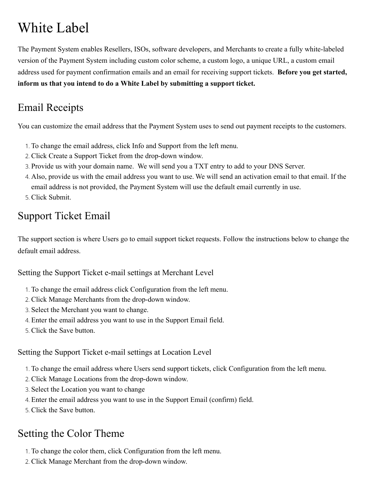# <span id="page-46-0"></span>White Label

The Payment System enables Resellers, ISOs, software developers, and Merchants to create a fully white-labeled version of the Payment System including custom color scheme, a custom logo, a unique URL, a custom email address used for payment confirmation emails and an email for receiving support tickets. **Before you get started, inform us that you intend to do a White Label by submitting a support ticket.**

# <span id="page-46-1"></span>Email Receipts

You can customize the email address that the Payment System uses to send out payment receipts to the customers.

- 1. To change the email address, click Info and Support from the left menu.
- 2. Click Create a Support Ticket from the drop-down window.
- 3. Provide us with your domain name. We will send you a TXT entry to add to your DNS Server.
- 4. Also, provide us with the email address you want to use. We will send an activation email to that email. If the email address is not provided, the Payment System will use the default email currently in use.
- 5. Click Submit.

# <span id="page-46-2"></span>Support Ticket Email

The support section is where Users go to email support ticket requests. Follow the instructions below to change the default email address.

#### <span id="page-46-3"></span>Setting the Support Ticket e-mail settings at Merchant Level

- 1. To change the email address click Configuration from the left menu.
- 2. Click Manage Merchants from the drop-down window.
- 3. Select the Merchant you want to change.
- 4. Enter the email address you want to use in the Support Email field.
- 5. Click the Save button.

<span id="page-46-4"></span>Setting the Support Ticket e-mail settings at Location Level

- 1. To change the email address where Users send support tickets, click Configuration from the left menu.
- 2. Click Manage Locations from the drop-down window.
- 3. Select the Location you want to change
- 4. Enter the email address you want to use in the Support Email (confirm) field.
- 5. Click the Save button.

# <span id="page-46-5"></span>Setting the Color Theme

- 1. To change the color them, click Configuration from the left menu.
- 2. Click Manage Merchant from the drop-down window.